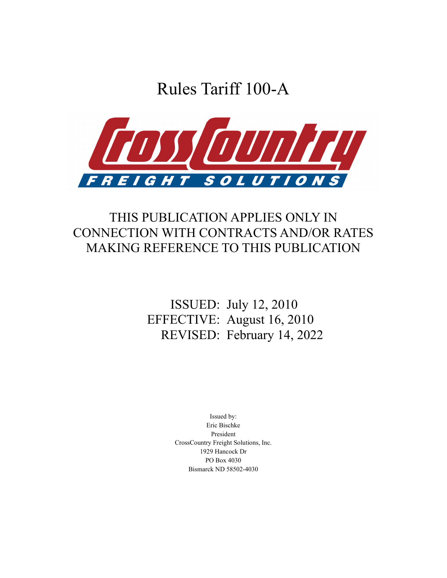Rules Tariff 100-A



# THIS PUBLICATION APPLIES ONLY IN CONNECTION WITH CONTRACTS AND/OR RATES MAKING REFERENCE TO THIS PUBLICATION

# ISSUED: July 12, 2010 EFFECTIVE: August 16, 2010 REVISED: February 14, 2022

Issued by: Eric Bischke President CrossCountry Freight Solutions, Inc. 1929 Hancock Dr PO Box 4030 Bismarck ND 58502-4030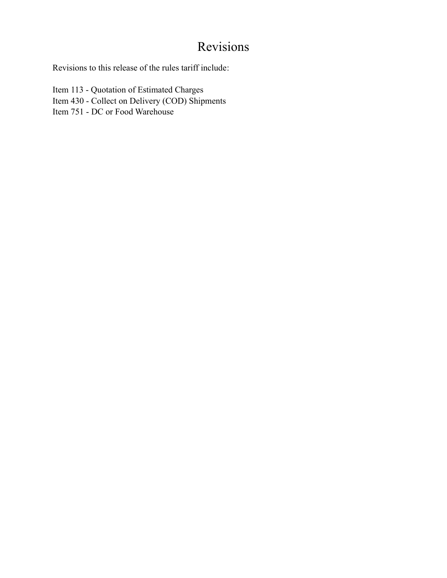# Revisions

Revisions to this release of the rules tariff include:

Item 113 - Quotation of Estimated Charges Item 430 - Collect on Delivery (COD) Shipments Item 751 - DC or Food Warehouse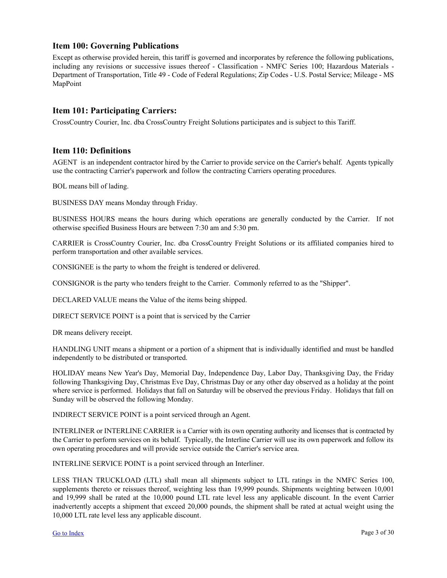## <span id="page-2-0"></span>**Item 100: Governing Publications**

Except as otherwise provided herein, this tariff is governed and incorporates by reference the following publications, including any revisions or successive issues thereof - Classification - NMFC Series 100; Hazardous Materials - Department of Transportation, Title 49 - Code of Federal Regulations; Zip Codes - U.S. Postal Service; Mileage - MS MapPoint

## **Item 101: Participating Carriers:**

CrossCountry Courier, Inc. dba CrossCountry Freight Solutions participates and is subject to this Tariff.

## **Item 110: Definitions**

AGENT is an independent contractor hired by the Carrier to provide service on the Carrier's behalf. Agents typically use the contracting Carrier's paperwork and follow the contracting Carriers operating procedures.

BOL means bill of lading.

BUSINESS DAY means Monday through Friday.

BUSINESS HOURS means the hours during which operations are generally conducted by the Carrier. If not otherwise specified Business Hours are between 7:30 am and 5:30 pm.

CARRIER is CrossCountry Courier, Inc. dba CrossCountry Freight Solutions or its affiliated companies hired to perform transportation and other available services.

CONSIGNEE is the party to whom the freight is tendered or delivered.

CONSIGNOR is the party who tenders freight to the Carrier. Commonly referred to as the "Shipper".

DECLARED VALUE means the Value of the items being shipped.

DIRECT SERVICE POINT is a point that is serviced by the Carrier

DR means delivery receipt.

HANDLING UNIT means a shipment or a portion of a shipment that is individually identified and must be handled independently to be distributed or transported.

HOLIDAY means New Year's Day, Memorial Day, Independence Day, Labor Day, Thanksgiving Day, the Friday following Thanksgiving Day, Christmas Eve Day, Christmas Day or any other day observed as a holiday at the point where service is performed. Holidays that fall on Saturday will be observed the previous Friday. Holidays that fall on Sunday will be observed the following Monday.

INDIRECT SERVICE POINT is a point serviced through an Agent.

INTERLINER or INTERLINE CARRIER is a Carrier with its own operating authority and licenses that is contracted by the Carrier to perform services on its behalf. Typically, the Interline Carrier will use its own paperwork and follow its own operating procedures and will provide service outside the Carrier's service area.

INTERLINE SERVICE POINT is a point serviced through an Interliner.

LESS THAN TRUCKLOAD (LTL) shall mean all shipments subject to LTL ratings in the NMFC Series 100, supplements thereto or reissues thereof, weighting less than 19,999 pounds. Shipments weighting between 10,001 and 19,999 shall be rated at the 10,000 pound LTL rate level less any applicable discount. In the event Carrier inadvertently accepts a shipment that exceed 20,000 pounds, the shipment shall be rated at actual weight using the 10,000 LTL rate level less any applicable discount.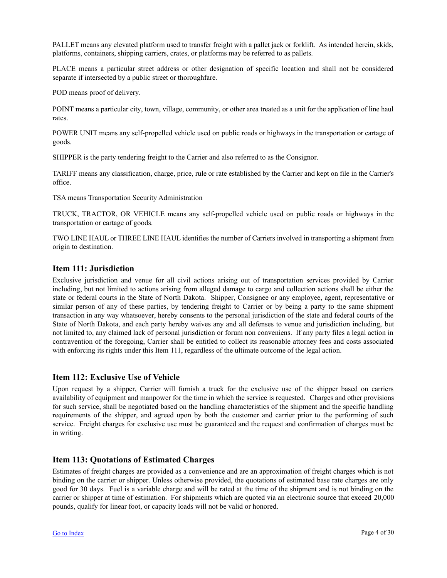<span id="page-3-0"></span>PALLET means any elevated platform used to transfer freight with a pallet jack or forklift. As intended herein, skids, platforms, containers, shipping carriers, crates, or platforms may be referred to as pallets.

PLACE means a particular street address or other designation of specific location and shall not be considered separate if intersected by a public street or thoroughfare.

POD means proof of delivery.

POINT means a particular city, town, village, community, or other area treated as a unit for the application of line haul rates.

POWER UNIT means any self-propelled vehicle used on public roads or highways in the transportation or cartage of goods.

SHIPPER is the party tendering freight to the Carrier and also referred to as the Consignor.

TARIFF means any classification, charge, price, rule or rate established by the Carrier and kept on file in the Carrier's office.

TSA means Transportation Security Administration

TRUCK, TRACTOR, OR VEHICLE means any self-propelled vehicle used on public roads or highways in the transportation or cartage of goods.

TWO LINE HAUL or THREE LINE HAUL identifies the number of Carriers involved in transporting a shipment from origin to destination.

## **Item 111: Jurisdiction**

Exclusive jurisdiction and venue for all civil actions arising out of transportation services provided by Carrier including, but not limited to actions arising from alleged damage to cargo and collection actions shall be either the state or federal courts in the State of North Dakota. Shipper, Consignee or any employee, agent, representative or similar person of any of these parties, by tendering freight to Carrier or by being a party to the same shipment transaction in any way whatsoever, hereby consents to the personal jurisdiction of the state and federal courts of the State of North Dakota, and each party hereby waives any and all defenses to venue and jurisdiction including, but not limited to, any claimed lack of personal jurisdiction or forum non conveniens. If any party files a legal action in contravention of the foregoing, Carrier shall be entitled to collect its reasonable attorney fees and costs associated with enforcing its rights under this Item 111, regardless of the ultimate outcome of the legal action.

## **Item 112: Exclusive Use of Vehicle**

Upon request by a shipper, Carrier will furnish a truck for the exclusive use of the shipper based on carriers availability of equipment and manpower for the time in which the service is requested. Charges and other provisions for such service, shall be negotiated based on the handling characteristics of the shipment and the specific handling requirements of the shipper, and agreed upon by both the customer and carrier prior to the performing of such service. Freight charges for exclusive use must be guaranteed and the request and confirmation of charges must be in writing.

## **Item 113: Quotations of Estimated Charges**

Estimates of freight charges are provided as a convenience and are an approximation of freight charges which is not binding on the carrier or shipper. Unless otherwise provided, the quotations of estimated base rate charges are only good for 30 days. Fuel is a variable charge and will be rated at the time of the shipment and is not binding on the carrier or shipper at time of estimation. For shipments which are quoted via an electronic source that exceed 20,000 pounds, qualify for linear foot, or capacity loads will not be valid or honored.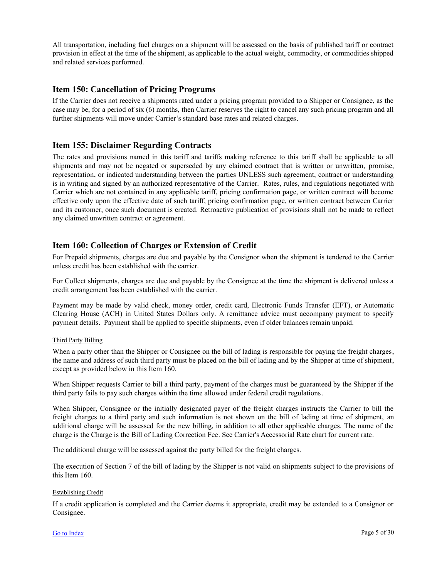<span id="page-4-0"></span>All transportation, including fuel charges on a shipment will be assessed on the basis of published tariff or contract provision in effect at the time of the shipment, as applicable to the actual weight, commodity, or commodities shipped and related services performed.

## **Item 150: Cancellation of Pricing Programs**

If the Carrier does not receive a shipments rated under a pricing program provided to a Shipper or Consignee, as the case may be, for a period of six (6) months, then Carrier reserves the right to cancel any such pricing program and all further shipments will move under Carrier's standard base rates and related charges.

## **Item 155: Disclaimer Regarding Contracts**

The rates and provisions named in this tariff and tariffs making reference to this tariff shall be applicable to all shipments and may not be negated or superseded by any claimed contract that is written or unwritten, promise, representation, or indicated understanding between the parties UNLESS such agreement, contract or understanding is in writing and signed by an authorized representative of the Carrier. Rates, rules, and regulations negotiated with Carrier which are not contained in any applicable tariff, pricing confirmation page, or written contract will become effective only upon the effective date of such tariff, pricing confirmation page, or written contract between Carrier and its customer, once such document is created. Retroactive publication of provisions shall not be made to reflect any claimed unwritten contract or agreement.

## **Item 160: Collection of Charges or Extension of Credit**

For Prepaid shipments, charges are due and payable by the Consignor when the shipment is tendered to the Carrier unless credit has been established with the carrier.

For Collect shipments, charges are due and payable by the Consignee at the time the shipment is delivered unless a credit arrangement has been established with the carrier.

Payment may be made by valid check, money order, credit card, Electronic Funds Transfer (EFT), or Automatic Clearing House (ACH) in United States Dollars only. A remittance advice must accompany payment to specify payment details. Payment shall be applied to specific shipments, even if older balances remain unpaid.

#### Third Party Billing

When a party other than the Shipper or Consignee on the bill of lading is responsible for paying the freight charges, the name and address of such third party must be placed on the bill of lading and by the Shipper at time of shipment, except as provided below in this Item 160.

When Shipper requests Carrier to bill a third party, payment of the charges must be guaranteed by the Shipper if the third party fails to pay such charges within the time allowed under federal credit regulations.

When Shipper, Consignee or the initially designated payer of the freight charges instructs the Carrier to bill the freight charges to a third party and such information is not shown on the bill of lading at time of shipment, an additional charge will be assessed for the new billing, in addition to all other applicable charges. The name of the charge is the Charge is the Bill of Lading Correction Fee. See Carrier's Accessorial Rate chart for current rate.

The additional charge will be assessed against the party billed for the freight charges.

The execution of Section 7 of the bill of lading by the Shipper is not valid on shipments subject to the provisions of this Item 160.

#### Establishing Credit

If a credit application is completed and the Carrier deems it appropriate, credit may be extended to a Consignor or Consignee.

#### [Go to Index](http://www.shipcc.com/rules/31) Page 5 of 30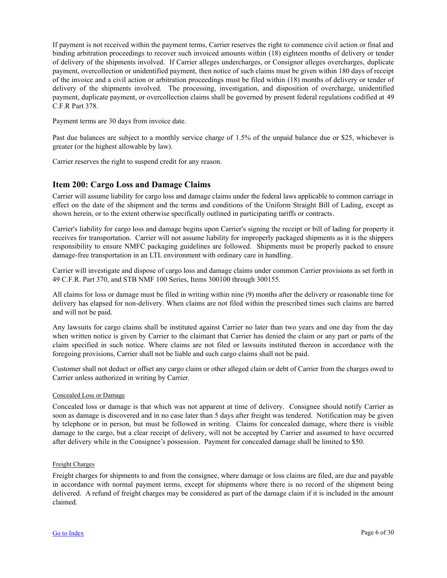<span id="page-5-0"></span>If payment is not received within the payment terms, Carrier reserves the right to commence civil action or final and binding arbitration proceedings to recover such invoiced amounts within (18) eighteen months of delivery or tender of delivery of the shipments involved. If Carrier alleges undercharges, or Consignor alleges overcharges, duplicate payment, overcollection or unidentified payment, then notice of such claims must be given within 180 days of receipt of the invoice and a civil action or arbitration proceedings must be filed within (18) months of delivery or tender of delivery of the shipments involved. The processing, investigation, and disposition of overcharge, unidentified payment, duplicate payment, or overcollection claims shall be governed by present federal regulations codified at 49 C.F.R Part 378.

Payment terms are 30 days from invoice date.

Past due balances are subject to a monthly service charge of 1.5% of the unpaid balance due or \$25, whichever is greater (or the highest allowable by law).

Carrier reserves the right to suspend credit for any reason.

## **Item 200: Cargo Loss and Damage Claims**

Carrier will assume liability for cargo loss and damage claims under the federal laws applicable to common carriage in effect on the date of the shipment and the terms and conditions of the Uniform Straight Bill of Lading, except as shown herein, or to the extent otherwise specifically outlined in participating tariffs or contracts.

Carrier's liability for cargo loss and damage begins upon Carrier's signing the receipt or bill of lading for property it receives for transportation. Carrier will not assume liability for improperly packaged shipments as it is the shippers responsibility to ensure NMFC packaging guidelines are followed. Shipments must be properly packed to ensure damage-free transportation in an LTL environment with ordinary care in handling.

Carrier will investigate and dispose of cargo loss and damage claims under common Carrier provisions as set forth in 49 C.F.R. Part 370, and STB NMF 100 Series, Items 300100 through 300155.

All claims for loss or damage must be filed in writing within nine (9) months after the delivery or reasonable time for delivery has elapsed for non-delivery. When claims are not filed within the prescribed times such claims are barred and will not be paid.

Any lawsuits for cargo claims shall be instituted against Carrier no later than two years and one day from the day when written notice is given by Carrier to the claimant that Carrier has denied the claim or any part or parts of the claim specified in such notice. Where claims are not filed or lawsuits instituted thereon in accordance with the foregoing provisions, Carrier shall not be liable and such cargo claims shall not be paid.

Customer shall not deduct or offset any cargo claim or other alleged claim or debt of Carrier from the charges owed to Carrier unless authorized in writing by Carrier.

#### Concealed Loss or Damage

Concealed loss or damage is that which was not apparent at time of delivery. Consignee should notify Carrier as soon as damage is discovered and in no case later than 5 days after freight was tendered. Notification may be given by telephone or in person, but must be followed in writing. Claims for concealed damage, where there is visible damage to the cargo, but a clear receipt of delivery, will not be accepted by Carrier and assumed to have occurred after delivery while in the Consignee's possession. Payment for concealed damage shall be limited to \$50.

#### Freight Charges

Freight charges for shipments to and from the consignee, where damage or loss claims are filed, are due and payable in accordance with normal payment terms, except for shipments where there is no record of the shipment being delivered. A refund of freight charges may be considered as part of the damage claim if it is included in the amount claimed.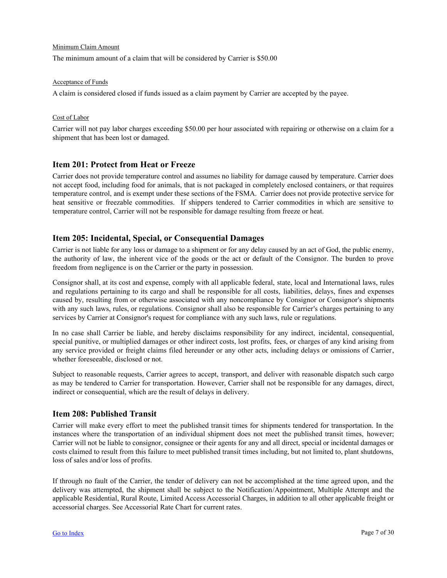#### <span id="page-6-0"></span>Minimum Claim Amount

The minimum amount of a claim that will be considered by Carrier is \$50.00

#### Acceptance of Funds

A claim is considered closed if funds issued as a claim payment by Carrier are accepted by the payee.

#### Cost of Labor

Carrier will not pay labor charges exceeding \$50.00 per hour associated with repairing or otherwise on a claim for a shipment that has been lost or damaged.

## **Item 201: Protect from Heat or Freeze**

Carrier does not provide temperature control and assumes no liability for damage caused by temperature. Carrier does not accept food, including food for animals, that is not packaged in completely enclosed containers, or that requires temperature control, and is exempt under these sections of the FSMA. Carrier does not provide protective service for heat sensitive or freezable commodities. If shippers tendered to Carrier commodities in which are sensitive to temperature control, Carrier will not be responsible for damage resulting from freeze or heat.

## **Item 205: Incidental, Special, or Consequential Damages**

Carrier is not liable for any loss or damage to a shipment or for any delay caused by an act of God, the public enemy, the authority of law, the inherent vice of the goods or the act or default of the Consignor. The burden to prove freedom from negligence is on the Carrier or the party in possession.

Consignor shall, at its cost and expense, comply with all applicable federal, state, local and International laws, rules and regulations pertaining to its cargo and shall be responsible for all costs, liabilities, delays, fines and expenses caused by, resulting from or otherwise associated with any noncompliance by Consignor or Consignor's shipments with any such laws, rules, or regulations. Consignor shall also be responsible for Carrier's charges pertaining to any services by Carrier at Consignor's request for compliance with any such laws, rule or regulations.

In no case shall Carrier be liable, and hereby disclaims responsibility for any indirect, incidental, consequential, special punitive, or multiplied damages or other indirect costs, lost profits, fees, or charges of any kind arising from any service provided or freight claims filed hereunder or any other acts, including delays or omissions of Carrier, whether foreseeable, disclosed or not.

Subject to reasonable requests, Carrier agrees to accept, transport, and deliver with reasonable dispatch such cargo as may be tendered to Carrier for transportation. However, Carrier shall not be responsible for any damages, direct, indirect or consequential, which are the result of delays in delivery.

## **Item 208: Published Transit**

Carrier will make every effort to meet the published transit times for shipments tendered for transportation. In the instances where the transportation of an individual shipment does not meet the published transit times, however; Carrier will not be liable to consignor, consignee or their agents for any and all direct, special or incidental damages or costs claimed to result from this failure to meet published transit times including, but not limited to, plant shutdowns, loss of sales and/or loss of profits.

If through no fault of the Carrier, the tender of delivery can not be accomplished at the time agreed upon, and the delivery was attempted, the shipment shall be subject to the Notification/Appointment, Multiple Attempt and the applicable Residential, Rural Route, Limited Access Accessorial Charges, in addition to all other applicable freight or accessorial charges. See Accessorial Rate Chart for current rates.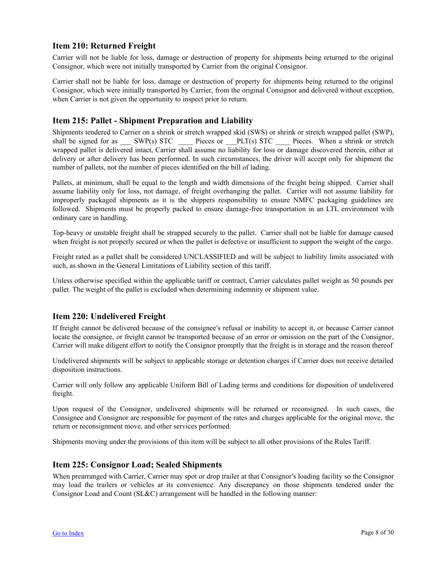## <span id="page-7-0"></span>**Item 210: Returned Freight**

Carrier will not be liable for loss, damage or destruction of property for shipments being returned to the original Consignor, which were not initially transported by Carrier from the original Consignor.

Carrier shall not be liable for loss, damage or destruction of property for shipments being returned to the original Consignor, which were initially transported by Carrier, from the original Consignor and delivered without exception, when Carrier is not given the opportunity to inspect prior to return.

## **Item 215: Pallet - Shipment Preparation and Liability**

Shipments tendered to Carrier on a shrink or stretch wrapped skid (SWS) or shrink or stretch wrapped pallet (SWP), shall be signed for as \_\_\_ SWP(s) STC \_\_\_\_ Pieces or \_\_\_PLT(s) STC \_\_\_\_ Pieces. When a shrink or stretch wrapped pallet is delivered intact, Carrier shall assume no liability for loss or damage discovered therein, either at delivery or after delivery has been performed. In such circumstances, the driver will accept only for shipment the number of pallets, not the number of pieces identified on the bill of lading.

Pallets, at minimum, shall be equal to the length and width dimensions of the freight being shipped. Carrier shall assume liability only for loss, not damage, of freight overhanging the pallet. Carrier will not assume liability for improperly packaged shipments as it is the shippers responsibility to ensure NMFC packaging guidelines are followed. Shipments must be properly packed to ensure damage-free transportation in an LTL environment with ordinary care in handling.

Top-heavy or unstable freight shall be strapped securely to the pallet. Carrier shall not be liable for damage caused when freight is not properly secured or when the pallet is defective or insufficient to support the weight of the cargo.

Freight rated as a pallet shall be considered UNCLASSIFIED and will be subject to liability limits associated with such, as shown in the General Limitations of Liability section of this tariff.

Unless otherwise specified within the applicable tariff or contract, Carrier calculates pallet weight as 50 pounds per pallet. The weight of the pallet is excluded when determining indemnity or shipment value.

## **Item 220: Undelivered Freight**

If freight cannot be delivered because of the consignee's refusal or inability to accept it, or because Carrier cannot locate the consignee, or freight cannot be transported because of an error or omission on the part of the Consignor, Carrier will make diligent effort to notify the Consignor promptly that the freight is in storage and the reason thereof.

Undelivered shipments will be subject to applicable storage or detention charges if Carrier does not receive detailed disposition instructions.

Carrier will only follow any applicable Uniform Bill of Lading terms and conditions for disposition of undelivered freight.

Upon request of the Consignor, undelivered shipments will be returned or reconsigned. In such cases, the Consignee and Consignor are responsible for payment of the rates and charges applicable for the original move, the return or reconsignment move, and other services performed.

Shipments moving under the provisions of this item will be subject to all other provisions of the Rules Tariff.

## **Item 225: Consignor Load; Sealed Shipments**

When prearranged with Carrier, Carrier may spot or drop trailer at that Consignor's loading facility so the Consignor may load the trailers or vehicles at its convenience. Any discrepancy on those shipments tendered under the Consignor Load and Count (SL&C) arrangement will be handled in the following manner: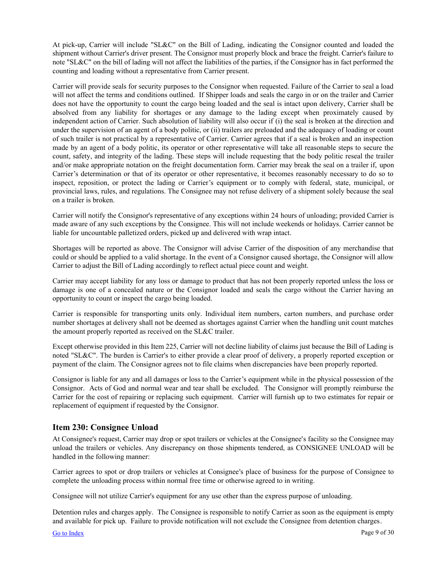<span id="page-8-0"></span>At pick-up, Carrier will include "SL&C" on the Bill of Lading, indicating the Consignor counted and loaded the shipment without Carrier's driver present. The Consignor must properly block and brace the freight. Carrier's failure to note "SL&C" on the bill of lading will not affect the liabilities of the parties, if the Consignor has in fact performed the counting and loading without a representative from Carrier present.

Carrier will provide seals for security purposes to the Consignor when requested. Failure of the Carrier to seal a load will not affect the terms and conditions outlined. If Shipper loads and seals the cargo in or on the trailer and Carrier does not have the opportunity to count the cargo being loaded and the seal is intact upon delivery, Carrier shall be absolved from any liability for shortages or any damage to the lading except when proximately caused by independent action of Carrier. Such absolution of liability will also occur if (i) the seal is broken at the direction and under the supervision of an agent of a body politic, or (ii) trailers are preloaded and the adequacy of loading or count of such trailer is not practical by a representative of Carrier. Carrier agrees that if a seal is broken and an inspection made by an agent of a body politic, its operator or other representative will take all reasonable steps to secure the count, safety, and integrity of the lading. These steps will include requesting that the body politic reseal the trailer and/or make appropriate notation on the freight documentation form. Carrier may break the seal on a trailer if, upon Carrier's determination or that of its operator or other representative, it becomes reasonably necessary to do so to inspect, reposition, or protect the lading or Carrier's equipment or to comply with federal, state, municipal, or provincial laws, rules, and regulations. The Consignee may not refuse delivery of a shipment solely because the seal on a trailer is broken.

Carrier will notify the Consignor's representative of any exceptions within 24 hours of unloading; provided Carrier is made aware of any such exceptions by the Consignee. This will not include weekends or holidays. Carrier cannot be liable for uncountable palletized orders, picked up and delivered with wrap intact.

Shortages will be reported as above. The Consignor will advise Carrier of the disposition of any merchandise that could or should be applied to a valid shortage. In the event of a Consignor caused shortage, the Consignor will allow Carrier to adjust the Bill of Lading accordingly to reflect actual piece count and weight.

Carrier may accept liability for any loss or damage to product that has not been properly reported unless the loss or damage is one of a concealed nature or the Consignor loaded and seals the cargo without the Carrier having an opportunity to count or inspect the cargo being loaded.

Carrier is responsible for transporting units only. Individual item numbers, carton numbers, and purchase order number shortages at delivery shall not be deemed as shortages against Carrier when the handling unit count matches the amount properly reported as received on the SL&C trailer.

Except otherwise provided in this Item 225, Carrier will not decline liability of claims just because the Bill of Lading is noted "SL&C". The burden is Carrier's to either provide a clear proof of delivery, a properly reported exception or payment of the claim. The Consignor agrees not to file claims when discrepancies have been properly reported.

Consignor is liable for any and all damages or loss to the Carrier's equipment while in the physical possession of the Consignor. Acts of God and normal wear and tear shall be excluded. The Consignor will promptly reimburse the Carrier for the cost of repairing or replacing such equipment. Carrier will furnish up to two estimates for repair or replacement of equipment if requested by the Consignor.

## **Item 230: Consignee Unload**

At Consignee's request, Carrier may drop or spot trailers or vehicles at the Consignee's facility so the Consignee may unload the trailers or vehicles. Any discrepancy on those shipments tendered, as CONSIGNEE UNLOAD will be handled in the following manner:

Carrier agrees to spot or drop trailers or vehicles at Consignee's place of business for the purpose of Consignee to complete the unloading process within normal free time or otherwise agreed to in writing.

Consignee will not utilize Carrier's equipment for any use other than the express purpose of unloading.

Detention rules and charges apply. The Consignee is responsible to notify Carrier as soon as the equipment is empty and available for pick up. Failure to provide notification will not exclude the Consignee from detention charges.

[Go to Index](http://www.shipcc.com/rules/31) Page 9 of 30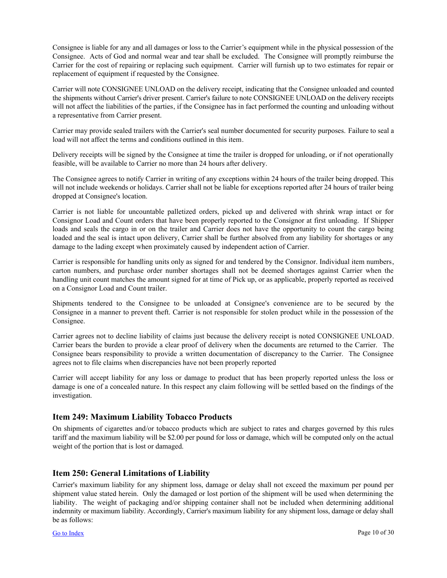<span id="page-9-0"></span>Consignee is liable for any and all damages or loss to the Carrier's equipment while in the physical possession of the Consignee. Acts of God and normal wear and tear shall be excluded. The Consignee will promptly reimburse the Carrier for the cost of repairing or replacing such equipment. Carrier will furnish up to two estimates for repair or replacement of equipment if requested by the Consignee.

Carrier will note CONSIGNEE UNLOAD on the delivery receipt, indicating that the Consignee unloaded and counted the shipments without Carrier's driver present. Carrier's failure to note CONSIGNEE UNLOAD on the delivery receipts will not affect the liabilities of the parties, if the Consignee has in fact performed the counting and unloading without a representative from Carrier present.

Carrier may provide sealed trailers with the Carrier's seal number documented for security purposes. Failure to seal a load will not affect the terms and conditions outlined in this item.

Delivery receipts will be signed by the Consignee at time the trailer is dropped for unloading, or if not operationally feasible, will be available to Carrier no more than 24 hours after delivery.

The Consignee agrees to notify Carrier in writing of any exceptions within 24 hours of the trailer being dropped. This will not include weekends or holidays. Carrier shall not be liable for exceptions reported after 24 hours of trailer being dropped at Consignee's location.

Carrier is not liable for uncountable palletized orders, picked up and delivered with shrink wrap intact or for Consignor Load and Count orders that have been properly reported to the Consignor at first unloading. If Shipper loads and seals the cargo in or on the trailer and Carrier does not have the opportunity to count the cargo being loaded and the seal is intact upon delivery, Carrier shall be further absolved from any liability for shortages or any damage to the lading except when proximately caused by independent action of Carrier.

Carrier is responsible for handling units only as signed for and tendered by the Consignor. Individual item numbers, carton numbers, and purchase order number shortages shall not be deemed shortages against Carrier when the handling unit count matches the amount signed for at time of Pick up, or as applicable, properly reported as received on a Consignor Load and Count trailer.

Shipments tendered to the Consignee to be unloaded at Consignee's convenience are to be secured by the Consignee in a manner to prevent theft. Carrier is not responsible for stolen product while in the possession of the Consignee.

Carrier agrees not to decline liability of claims just because the delivery receipt is noted CONSIGNEE UNLOAD. Carrier bears the burden to provide a clear proof of delivery when the documents are returned to the Carrier. The Consignee bears responsibility to provide a written documentation of discrepancy to the Carrier. The Consignee agrees not to file claims when discrepancies have not been properly reported

Carrier will accept liability for any loss or damage to product that has been properly reported unless the loss or damage is one of a concealed nature. In this respect any claim following will be settled based on the findings of the investigation.

## **Item 249: Maximum Liability Tobacco Products**

On shipments of cigarettes and/or tobacco products which are subject to rates and charges governed by this rules tariff and the maximum liability will be \$2.00 per pound for loss or damage, which will be computed only on the actual weight of the portion that is lost or damaged.

## **Item 250: General Limitations of Liability**

Carrier's maximum liability for any shipment loss, damage or delay shall not exceed the maximum per pound per shipment value stated herein. Only the damaged or lost portion of the shipment will be used when determining the liability. The weight of packaging and/or shipping container shall not be included when determining additional indemnity or maximum liability. Accordingly, Carrier's maximum liability for any shipment loss, damage or delay shall be as follows: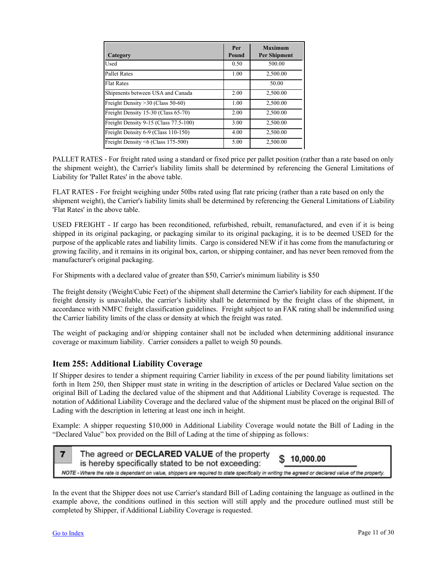<span id="page-10-0"></span>

| Category                              | Per<br>Pound | <b>Maximum</b><br><b>Per Shipment</b> |
|---------------------------------------|--------------|---------------------------------------|
| Used                                  | 0.50         | 500.00                                |
| <b>Pallet Rates</b>                   | 1.00         | 2.500.00                              |
| <b>Flat Rates</b>                     |              | 50.00                                 |
| Shipments between USA and Canada      | 2.00         | 2,500.00                              |
| Freight Density > 30 (Class 50-60)    | 1.00         | 2.500.00                              |
| Freight Density 15-30 (Class 65-70)   | 2.00         | 2,500.00                              |
| Freight Density 9-15 (Class 77.5-100) | 3.00         | 2.500.00                              |
| Freight Density 6-9 (Class 110-150)   | 4.00         | 2.500.00                              |
| Freight Density <6 (Class 175-500)    | 5.00         | 2.500.00                              |

PALLET RATES - For freight rated using a standard or fixed price per pallet position (rather than a rate based on only the shipment weight), the Carrier's liability limits shall be determined by referencing the General Limitations of Liability for 'Pallet Rates' in the above table.

FLAT RATES - For freight weighing under 50lbs rated using flat rate pricing (rather than a rate based on only the shipment weight), the Carrier's liability limits shall be determined by referencing the General Limitations of Liability 'Flat Rates' in the above table.

USED FREIGHT - If cargo has been reconditioned, refurbished, rebuilt, remanufactured, and even if it is being shipped in its original packaging, or packaging similar to its original packaging, it is to be deemed USED for the purpose of the applicable rates and liability limits. Cargo is considered NEW if it has come from the manufacturing or growing facility, and it remains in its original box, carton, or shipping container, and has never been removed from the manufacturer's original packaging.

For Shipments with a declared value of greater than \$50, Carrier's minimum liability is \$50

The freight density (Weight/Cubic Feet) of the shipment shall determine the Carrier's liability for each shipment. If the freight density is unavailable, the carrier's liability shall be determined by the freight class of the shipment, in accordance with NMFC freight classification guidelines. Freight subject to an FAK rating shall be indemnified using the Carrier liability limits of the class or density at which the freight was rated.

The weight of packaging and/or shipping container shall not be included when determining additional insurance coverage or maximum liability. Carrier considers a pallet to weigh 50 pounds.

## **Item 255: Additional Liability Coverage**

If Shipper desires to tender a shipment requiring Carrier liability in excess of the per pound liability limitations set forth in Item 250, then Shipper must state in writing in the description of articles or Declared Value section on the original Bill of Lading the declared value of the shipment and that Additional Liability Coverage is requested. The notation of Additional Liability Coverage and the declared value of the shipment must be placed on the original Bill of Lading with the description in lettering at least one inch in height.

Example: A shipper requesting \$10,000 in Additional Liability Coverage would notate the Bill of Lading in the "Declared Value" box provided on the Bill of Lading at the time of shipping as follows:



In the event that the Shipper does not use Carrier's standard Bill of Lading containing the language as outlined in the example above, the conditions outlined in this section will still apply and the procedure outlined must still be completed by Shipper, if Additional Liability Coverage is requested.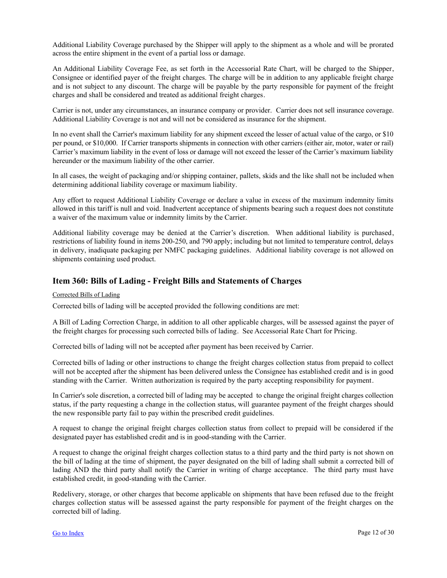<span id="page-11-0"></span>Additional Liability Coverage purchased by the Shipper will apply to the shipment as a whole and will be prorated across the entire shipment in the event of a partial loss or damage.

An Additional Liability Coverage Fee, as set forth in the Accessorial Rate Chart, will be charged to the Shipper, Consignee or identified payer of the freight charges. The charge will be in addition to any applicable freight charge and is not subject to any discount. The charge will be payable by the party responsible for payment of the freight charges and shall be considered and treated as additional freight charges.

Carrier is not, under any circumstances, an insurance company or provider. Carrier does not sell insurance coverage. Additional Liability Coverage is not and will not be considered as insurance for the shipment.

In no event shall the Carrier's maximum liability for any shipment exceed the lesser of actual value of the cargo, or \$10 per pound, or \$10,000. If Carrier transports shipments in connection with other carriers (either air, motor, water or rail) Carrier's maximum liability in the event of loss or damage will not exceed the lesser of the Carrier's maximum liability hereunder or the maximum liability of the other carrier.

In all cases, the weight of packaging and/or shipping container, pallets, skids and the like shall not be included when determining additional liability coverage or maximum liability.

Any effort to request Additional Liability Coverage or declare a value in excess of the maximum indemnity limits allowed in this tariff is null and void. Inadvertent acceptance of shipments bearing such a request does not constitute a waiver of the maximum value or indemnity limits by the Carrier.

Additional liability coverage may be denied at the Carrier's discretion. When additional liability is purchased, restrictions of liability found in items 200-250, and 790 apply; including but not limited to temperature control, delays in delivery, inadiquate packaging per NMFC packaging guidelines. Additional liability coverage is not allowed on shipments containing used product.

## **Item 360: Bills of Lading - Freight Bills and Statements of Charges**

#### Corrected Bills of Lading

Corrected bills of lading will be accepted provided the following conditions are met:

A Bill of Lading Correction Charge, in addition to all other applicable charges, will be assessed against the payer of the freight charges for processing such corrected bills of lading. See Accessorial Rate Chart for Pricing.

Corrected bills of lading will not be accepted after payment has been received by Carrier.

Corrected bills of lading or other instructions to change the freight charges collection status from prepaid to collect will not be accepted after the shipment has been delivered unless the Consignee has established credit and is in good standing with the Carrier. Written authorization is required by the party accepting responsibility for payment.

In Carrier's sole discretion, a corrected bill of lading may be accepted to change the original freight charges collection status, if the party requesting a change in the collection status, will guarantee payment of the freight charges should the new responsible party fail to pay within the prescribed credit guidelines.

A request to change the original freight charges collection status from collect to prepaid will be considered if the designated payer has established credit and is in good-standing with the Carrier.

A request to change the original freight charges collection status to a third party and the third party is not shown on the bill of lading at the time of shipment, the payer designated on the bill of lading shall submit a corrected bill of lading AND the third party shall notify the Carrier in writing of charge acceptance. The third party must have established credit, in good-standing with the Carrier.

Redelivery, storage, or other charges that become applicable on shipments that have been refused due to the freight charges collection status will be assessed against the party responsible for payment of the freight charges on the corrected bill of lading.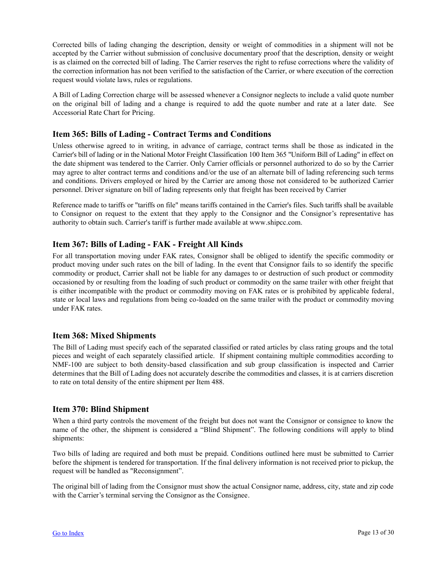<span id="page-12-0"></span>Corrected bills of lading changing the description, density or weight of commodities in a shipment will not be accepted by the Carrier without submission of conclusive documentary proof that the description, density or weight is as claimed on the corrected bill of lading. The Carrier reserves the right to refuse corrections where the validity of the correction information has not been verified to the satisfaction of the Carrier, or where execution of the correction request would violate laws, rules or regulations.

A Bill of Lading Correction charge will be assessed whenever a Consignor neglects to include a valid quote number on the original bill of lading and a change is required to add the quote number and rate at a later date. See Accessorial Rate Chart for Pricing.

## **Item 365: Bills of Lading - Contract Terms and Conditions**

Unless otherwise agreed to in writing, in advance of carriage, contract terms shall be those as indicated in the Carrier's bill of lading or in the National Motor Freight Classification 100 Item 365 "Uniform Bill of Lading" in effect on the date shipment was tendered to the Carrier. Only Carrier officials or personnel authorized to do so by the Carrier may agree to alter contract terms and conditions and/or the use of an alternate bill of lading referencing such terms and conditions. Drivers employed or hired by the Carrier are among those not considered to be authorized Carrier personnel. Driver signature on bill of lading represents only that freight has been received by Carrier

Reference made to tariffs or "tariffs on file" means tariffs contained in the Carrier's files. Such tariffs shall be available to Consignor on request to the extent that they apply to the Consignor and the Consignor's representative has authority to obtain such. Carrier's tariff is further made available at www.shipcc.com.

## **Item 367: Bills of Lading - FAK - Freight All Kinds**

For all transportation moving under FAK rates, Consignor shall be obliged to identify the specific commodity or product moving under such rates on the bill of lading. In the event that Consignor fails to so identify the specific commodity or product, Carrier shall not be liable for any damages to or destruction of such product or commodity occasioned by or resulting from the loading of such product or commodity on the same trailer with other freight that is either incompatible with the product or commodity moving on FAK rates or is prohibited by applicable federal, state or local laws and regulations from being co-loaded on the same trailer with the product or commodity moving under FAK rates.

## **Item 368: Mixed Shipments**

The Bill of Lading must specify each of the separated classified or rated articles by class rating groups and the total pieces and weight of each separately classified article. If shipment containing multiple commodities according to NMF-100 are subject to both density-based classification and sub group classification is inspected and Carrier determines that the Bill of Lading does not accurately describe the commodities and classes, it is at carriers discretion to rate on total density of the entire shipment per Item 488.

## **Item 370: Blind Shipment**

When a third party controls the movement of the freight but does not want the Consignor or consignee to know the name of the other, the shipment is considered a "Blind Shipment". The following conditions will apply to blind shipments:

Two bills of lading are required and both must be prepaid. Conditions outlined here must be submitted to Carrier before the shipment is tendered for transportation. If the final delivery information is not received prior to pickup, the request will be handled as "Reconsignment".

The original bill of lading from the Consignor must show the actual Consignor name, address, city, state and zip code with the Carrier's terminal serving the Consignor as the Consignee.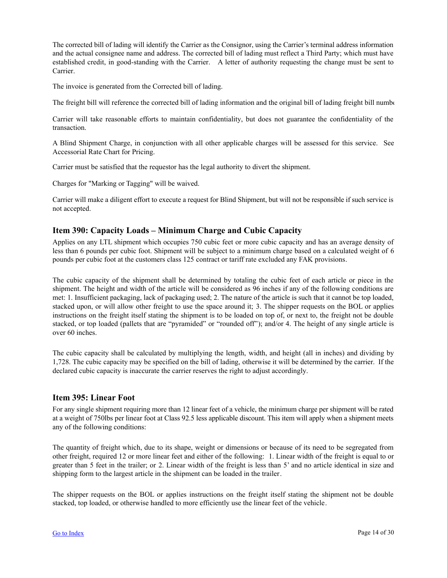<span id="page-13-0"></span>The corrected bill of lading will identify the Carrier as the Consignor, using the Carrier's terminal address information and the actual consignee name and address. The corrected bill of lading must reflect a Third Party; which must have established credit, in good-standing with the Carrier. A letter of authority requesting the change must be sent to Carrier.

The invoice is generated from the Corrected bill of lading.

The freight bill will reference the corrected bill of lading information and the original bill of lading freight bill number.

Carrier will take reasonable efforts to maintain confidentiality, but does not guarantee the confidentiality of the transaction.

A Blind Shipment Charge, in conjunction with all other applicable charges will be assessed for this service. See Accessorial Rate Chart for Pricing.

Carrier must be satisfied that the requestor has the legal authority to divert the shipment.

Charges for "Marking or Tagging" will be waived.

Carrier will make a diligent effort to execute a request for Blind Shipment, but will not be responsible if such service is not accepted.

## **Item 390: Capacity Loads – Minimum Charge and Cubic Capacity**

Applies on any LTL shipment which occupies 750 cubic feet or more cubic capacity and has an average density of less than 6 pounds per cubic foot. Shipment will be subject to a minimum charge based on a calculated weight of 6 pounds per cubic foot at the customers class 125 contract or tariff rate excluded any FAK provisions.

The cubic capacity of the shipment shall be determined by totaling the cubic feet of each article or piece in the shipment. The height and width of the article will be considered as 96 inches if any of the following conditions are met: 1. Insufficient packaging, lack of packaging used; 2. The nature of the article is such that it cannot be top loaded, stacked upon, or will allow other freight to use the space around it; 3. The shipper requests on the BOL or applies instructions on the freight itself stating the shipment is to be loaded on top of, or next to, the freight not be double stacked, or top loaded (pallets that are "pyramided" or "rounded off"); and/or 4. The height of any single article is over 60 inches.

The cubic capacity shall be calculated by multiplying the length, width, and height (all in inches) and dividing by 1,728. The cubic capacity may be specified on the bill of lading, otherwise it will be determined by the carrier. If the declared cubic capacity is inaccurate the carrier reserves the right to adjust accordingly.

#### **Item 395: Linear Foot**

For any single shipment requiring more than 12 linear feet of a vehicle, the minimum charge per shipment will be rated at a weight of 750lbs per linear foot at Class 92.5 less applicable discount. This item will apply when a shipment meets any of the following conditions:

The quantity of freight which, due to its shape, weight or dimensions or because of its need to be segregated from other freight, required 12 or more linear feet and either of the following: 1. Linear width of the freight is equal to or greater than 5 feet in the trailer; or 2. Linear width of the freight is less than 5' and no article identical in size and shipping form to the largest article in the shipment can be loaded in the trailer.

The shipper requests on the BOL or applies instructions on the freight itself stating the shipment not be double stacked, top loaded, or otherwise handled to more efficiently use the linear feet of the vehicle.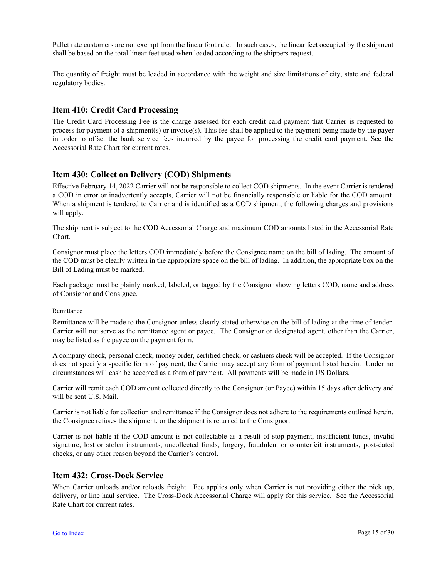<span id="page-14-0"></span>Pallet rate customers are not exempt from the linear foot rule. In such cases, the linear feet occupied by the shipment shall be based on the total linear feet used when loaded according to the shippers request.

The quantity of freight must be loaded in accordance with the weight and size limitations of city, state and federal regulatory bodies.

## **Item 410: Credit Card Processing**

The Credit Card Processing Fee is the charge assessed for each credit card payment that Carrier is requested to process for payment of a shipment(s) or invoice(s). This fee shall be applied to the payment being made by the payer in order to offset the bank service fees incurred by the payee for processing the credit card payment. See the Accessorial Rate Chart for current rates.

## **Item 430: Collect on Delivery (COD) Shipments**

Effective February 14, 2022 Carrier will not be responsible to collect COD shipments. In the event Carrier is tendered a COD in error or inadvertently accepts, Carrier will not be financially responsible or liable for the COD amount. When a shipment is tendered to Carrier and is identified as a COD shipment, the following charges and provisions will apply.

The shipment is subject to the COD Accessorial Charge and maximum COD amounts listed in the Accessorial Rate Chart.

Consignor must place the letters COD immediately before the Consignee name on the bill of lading. The amount of the COD must be clearly written in the appropriate space on the bill of lading. In addition, the appropriate box on the Bill of Lading must be marked.

Each package must be plainly marked, labeled, or tagged by the Consignor showing letters COD, name and address of Consignor and Consignee.

#### Remittance

Remittance will be made to the Consignor unless clearly stated otherwise on the bill of lading at the time of tender. Carrier will not serve as the remittance agent or payee. The Consignor or designated agent, other than the Carrier, may be listed as the payee on the payment form.

A company check, personal check, money order, certified check, or cashiers check will be accepted. If the Consignor does not specify a specific form of payment, the Carrier may accept any form of payment listed herein. Under no circumstances will cash be accepted as a form of payment. All payments will be made in US Dollars.

Carrier will remit each COD amount collected directly to the Consignor (or Payee) within 15 days after delivery and will be sent U.S. Mail.

Carrier is not liable for collection and remittance if the Consignor does not adhere to the requirements outlined herein, the Consignee refuses the shipment, or the shipment is returned to the Consignor.

Carrier is not liable if the COD amount is not collectable as a result of stop payment, insufficient funds, invalid signature, lost or stolen instruments, uncollected funds, forgery, fraudulent or counterfeit instruments, post-dated checks, or any other reason beyond the Carrier's control.

#### **Item 432: Cross-Dock Service**

When Carrier unloads and/or reloads freight. Fee applies only when Carrier is not providing either the pick up, delivery, or line haul service. The Cross-Dock Accessorial Charge will apply for this service. See the Accessorial Rate Chart for current rates.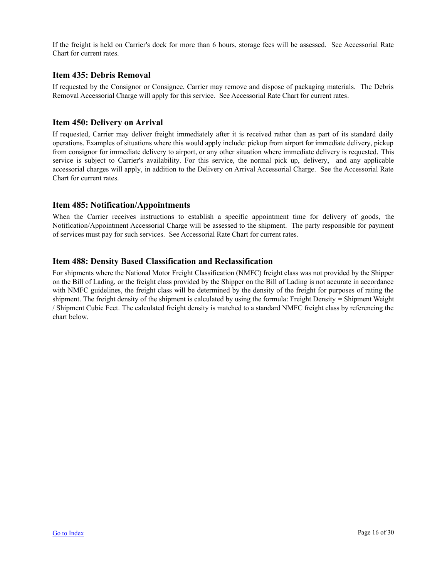<span id="page-15-0"></span>If the freight is held on Carrier's dock for more than 6 hours, storage fees will be assessed. See Accessorial Rate Chart for current rates.

## **Item 435: Debris Removal**

If requested by the Consignor or Consignee, Carrier may remove and dispose of packaging materials. The Debris Removal Accessorial Charge will apply for this service. See Accessorial Rate Chart for current rates.

## **Item 450: Delivery on Arrival**

If requested, Carrier may deliver freight immediately after it is received rather than as part of its standard daily operations. Examples of situations where this would apply include: pickup from airport for immediate delivery, pickup from consignor for immediate delivery to airport, or any other situation where immediate delivery is requested. This service is subject to Carrier's availability. For this service, the normal pick up, delivery, and any applicable accessorial charges will apply, in addition to the Delivery on Arrival Accessorial Charge. See the Accessorial Rate Chart for current rates.

## **Item 485: Notification/Appointments**

When the Carrier receives instructions to establish a specific appointment time for delivery of goods, the Notification/Appointment Accessorial Charge will be assessed to the shipment. The party responsible for payment of services must pay for such services. See Accessorial Rate Chart for current rates.

## **Item 488: Density Based Classification and Reclassification**

For shipments where the National Motor Freight Classification (NMFC) freight class was not provided by the Shipper on the Bill of Lading, or the freight class provided by the Shipper on the Bill of Lading is not accurate in accordance with NMFC guidelines, the freight class will be determined by the density of the freight for purposes of rating the shipment. The freight density of the shipment is calculated by using the formula: Freight Density = Shipment Weight / Shipment Cubic Feet. The calculated freight density is matched to a standard NMFC freight class by referencing the chart below.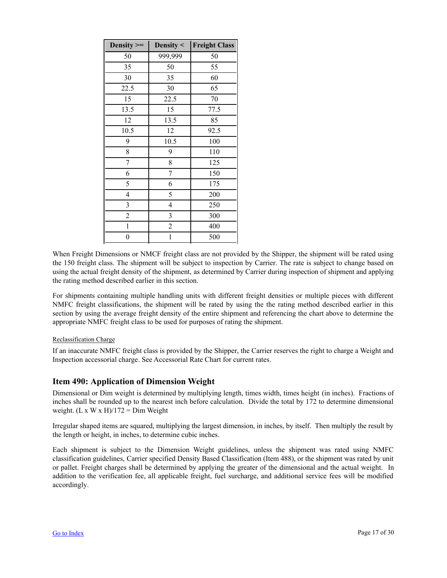<span id="page-16-0"></span>

| Density $>=$   | Density $\leq$ | <b>Freight Class</b> |
|----------------|----------------|----------------------|
| 50             | 999,999        | 50                   |
| 35             | 50             | 55                   |
| 30             | 35             | 60                   |
| 22.5           | 30             | 65                   |
| 15             | 22.5           | 70                   |
| 13.5           | 15             | 77.5                 |
| 12             | 13.5           | 85                   |
| 10.5           | 12             | 92.5                 |
| 9              | 10.5           | 100                  |
| 8              | 9              | 110                  |
| 7              | 8              | 125                  |
| 6              | 7              | 150                  |
| 5              | 6              | 175                  |
| 4              | 5              | 200                  |
| 3              | $\overline{4}$ | 250                  |
| $\overline{c}$ | 3              | 300                  |
| $\mathbf{1}$   | $\overline{c}$ | 400                  |
| $\overline{0}$ | $\mathbf{1}$   | 500                  |

When Freight Dimensions or NMCF freight class are not provided by the Shipper, the shipment will be rated using the 150 freight class. The shipment will be subject to inspection by Carrier. The rate is subject to change based on using the actual freight density of the shipment, as determined by Carrier during inspection of shipment and applying the rating method described earlier in this section.

For shipments containing multiple handling units with different freight densities or multiple pieces with different NMFC freight classifications, the shipment will be rated by using the the rating method described earlier in this section by using the average freight density of the entire shipment and referencing the chart above to determine the appropriate NMFC freight class to be used for purposes of rating the shipment.

#### Reclassification Charge

If an inaccurate NMFC freight class is provided by the Shipper, the Carrier reserves the right to charge a Weight and Inspection accessorial charge. See Accessorial Rate Chart for current rates.

## **Item 490: Application of Dimension Weight**

Dimensional or Dim weight is determined by multiplying length, times width, times height (in inches). Fractions of inches shall be rounded up to the nearest inch before calculation. Divide the total by 172 to determine dimensional weight.  $(L x W x H)/172 = Dim Weight$ 

Irregular shaped items are squared, multiplying the largest dimension, in inches, by itself. Then multiply the result by the length or height, in inches, to determine cubic inches.

Each shipment is subject to the Dimension Weight guidelines, unless the shipment was rated using NMFC classification guidelines, Carrier specified Density Based Classification (Item 488), or the shipment was rated by unit or pallet. Freight charges shall be determined by applying the greater of the dimensional and the actual weight. In addition to the verification fee, all applicable freight, fuel surcharge, and additional service fees will be modified accordingly.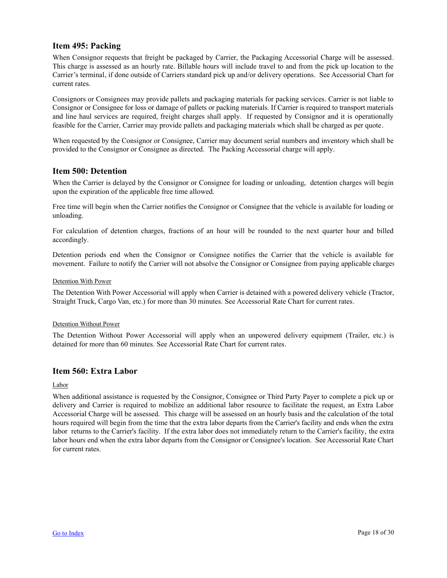## <span id="page-17-0"></span>**Item 495: Packing**

When Consignor requests that freight be packaged by Carrier, the Packaging Accessorial Charge will be assessed. This charge is assessed as an hourly rate. Billable hours will include travel to and from the pick up location to the Carrier's terminal, if done outside of Carriers standard pick up and/or delivery operations. See Accessorial Chart for current rates.

Consignors or Consignees may provide pallets and packaging materials for packing services. Carrier is not liable to Consignor or Consignee for loss or damage of pallets or packing materials. If Carrier is required to transport materials and line haul services are required, freight charges shall apply. If requested by Consignor and it is operationally feasible for the Carrier, Carrier may provide pallets and packaging materials which shall be charged as per quote.

When requested by the Consignor or Consignee, Carrier may document serial numbers and inventory which shall be provided to the Consignor or Consignee as directed. The Packing Accessorial charge will apply.

## **Item 500: Detention**

When the Carrier is delayed by the Consignor or Consignee for loading or unloading, detention charges will begin upon the expiration of the applicable free time allowed.

Free time will begin when the Carrier notifies the Consignor or Consignee that the vehicle is available for loading or unloading.

For calculation of detention charges, fractions of an hour will be rounded to the next quarter hour and billed accordingly.

Detention periods end when the Consignor or Consignee notifies the Carrier that the vehicle is available for movement. Failure to notify the Carrier will not absolve the Consignor or Consignee from paying applicable charges.

#### Detention With Power

The Detention With Power Accessorial will apply when Carrier is detained with a powered delivery vehicle (Tractor, Straight Truck, Cargo Van, etc.) for more than 30 minutes. See Accessorial Rate Chart for current rates.

#### Detention Without Power

The Detention Without Power Accessorial will apply when an unpowered delivery equipment (Trailer, etc.) is detained for more than 60 minutes. See Accessorial Rate Chart for current rates.

## **Item 560: Extra Labor**

Labor

When additional assistance is requested by the Consignor, Consignee or Third Party Payer to complete a pick up or delivery and Carrier is required to mobilize an additional labor resource to facilitate the request, an Extra Labor Accessorial Charge will be assessed. This charge will be assessed on an hourly basis and the calculation of the total hours required will begin from the time that the extra labor departs from the Carrier's facility and ends when the extra labor returns to the Carrier's facility. If the extra labor does not immediately return to the Carrier's facility, the extra labor hours end when the extra labor departs from the Consignor or Consignee's location. See Accessorial Rate Chart for current rates.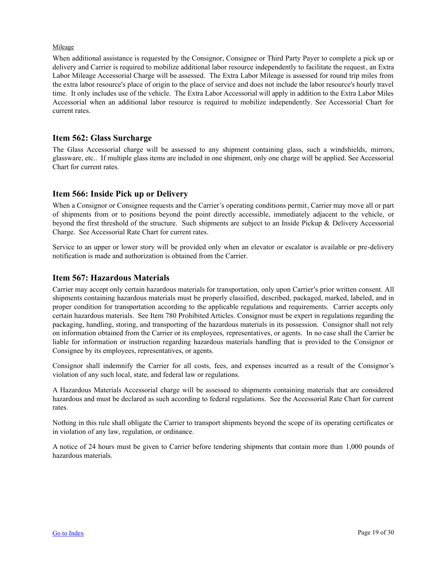#### <span id="page-18-0"></span>Mileage

When additional assistance is requested by the Consignor, Consignee or Third Party Payer to complete a pick up or delivery and Carrier is required to mobilize additional labor resource independently to facilitate the request, an Extra Labor Mileage Accessorial Charge will be assessed. The Extra Labor Mileage is assessed for round trip miles from the extra labor resource's place of origin to the place of service and does not include the labor resource's hourly travel time. It only includes use of the vehicle. The Extra Labor Accessorial will apply in addition to the Extra Labor Miles Accessorial when an additional labor resource is required to mobilize independently. See Accessorial Chart for current rates.

## **Item 562: Glass Surcharge**

The Glass Accessorial charge will be assessed to any shipment containing glass, such a windshields, mirrors, glassware, etc.. If multiple glass items are included in one shipment, only one charge will be applied. See Accessorial Chart for current rates.

## **Item 566: Inside Pick up or Delivery**

When a Consignor or Consignee requests and the Carrier's operating conditions permit, Carrier may move all or part of shipments from or to positions beyond the point directly accessible, immediately adjacent to the vehicle, or beyond the first threshold of the structure. Such shipments are subject to an Inside Pickup & Delivery Accessorial Charge. See Accessorial Rate Chart for current rates.

Service to an upper or lower story will be provided only when an elevator or escalator is available or pre-delivery notification is made and authorization is obtained from the Carrier.

## **Item 567: Hazardous Materials**

Carrier may accept only certain hazardous materials for transportation, only upon Carrier's prior written consent. All shipments containing hazardous materials must be properly classified, described, packaged, marked, labeled, and in proper condition for transportation according to the applicable regulations and requirements. Carrier accepts only certain hazardous materials. See Item 780 Prohibited Articles. Consignor must be expert in regulations regarding the packaging, handling, storing, and transporting of the hazardous materials in its possession. Consignor shall not rely on information obtained from the Carrier or its employees, representatives, or agents. In no case shall the Carrier be liable for information or instruction regarding hazardous materials handling that is provided to the Consignor or Consignee by its employees, representatives, or agents.

Consignor shall indemnify the Carrier for all costs, fees, and expenses incurred as a result of the Consignor's violation of any such local, state, and federal law or regulations.

A Hazardous Materials Accessorial charge will be assessed to shipments containing materials that are considered hazardous and must be declared as such according to federal regulations. See the Accessorial Rate Chart for current rates.

Nothing in this rule shall obligate the Carrier to transport shipments beyond the scope of its operating certificates or in violation of any law, regulation, or ordinance.

A notice of 24 hours must be given to Carrier before tendering shipments that contain more than 1,000 pounds of hazardous materials.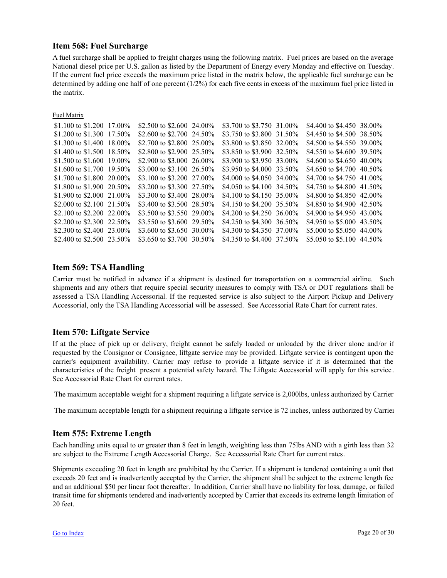## <span id="page-19-0"></span>**Item 568: Fuel Surcharge**

A fuel surcharge shall be applied to freight charges using the following matrix. Fuel prices are based on the average National diesel price per U.S. gallon as listed by the Department of Energy every Monday and effective on Tuesday. If the current fuel price exceeds the maximum price listed in the matrix below, the applicable fuel surcharge can be determined by adding one half of one percent (1/2%) for each five cents in excess of the maximum fuel price listed in the matrix.

Fuel Matrix

| \$1.100 to \$1.200 17.00%  | \$2.500 to \$2.600 24.00% | \$3.700 to \$3.750 31.00% | \$4.400 to \$4.450 38.00%  |  |
|----------------------------|---------------------------|---------------------------|----------------------------|--|
| \$1.200 to \$1.300 17.50%  | \$2,600 to \$2,700 24.50% | \$3.750 to \$3.800 31.50% | \$4.450 to \$4.500 38.50%  |  |
| \$1.300 to \$1.400 18.00\% | \$2,700 to \$2,800 25,00% | \$3.800 to \$3.850 32.00% | \$4.500 to \$4.550 39.00%  |  |
| \$1.400 to \$1.500 18.50\% | \$2,800 to \$2,900 25,50% | \$3.850 to \$3.900 32.50% | \$4.550 to \$4.600 39.50%  |  |
| \$1.500 to \$1.600 19.00%  | \$2.900 to \$3.000 26.00% | \$3.900 to \$3.950 33.00% | \$4,600 to \$4,650 40,00%  |  |
| \$1.600 to \$1.700 19.50\% | \$3,000 to \$3,100 26.50% | \$3.950 to \$4.000 33.50% | \$4.650 to \$4.700 40.50%  |  |
| \$1.700 to \$1.800 20.00%  | \$3.100 to \$3.200 27.00% | \$4,000 to \$4,050 34,00% | \$4.700 to \$4.750 41.00\% |  |
| \$1.800 to \$1.900 20.50%  | \$3.200 to \$3.300 27.50% | \$4.050 to \$4.100 34.50% | \$4.750 to \$4.800 41.50\% |  |
| \$1.900 to \$2.000 21.00%  | \$3.300 to \$3.400 28.00% | \$4.100 to \$4.150 35.00% | \$4.800 to \$4.850 42.00%  |  |
| \$2,000 to \$2,100 21.50%  | \$3.400 to \$3.500 28.50% | \$4.150 to \$4.200 35.50% | \$4.850 to \$4.900 42.50%  |  |
| \$2.100 to \$2.200 22.00\% | \$3.500 to \$3.550 29.00% | \$4.200 to \$4.250 36.00% | \$4.900 to \$4.950 43.00%  |  |
| \$2.200 to \$2.300 22.50\% | \$3.550 to \$3.600 29.50% | \$4.250 to \$4.300 36.50% | \$4.950 to \$5.000 43.50%  |  |
| \$2,300 to \$2,400 23,00%  | \$3,600 to \$3,650 30,00% | \$4.300 to \$4.350 37.00% | \$5,000 to \$5,050 44,00%  |  |
| \$2.400 to \$2.500 23.50%  | \$3.650 to \$3.700 30.50% | \$4.350 to \$4.400 37.50% | \$5.050 to \$5.100 44.50%  |  |

## **Item 569: TSA Handling**

Carrier must be notified in advance if a shipment is destined for transportation on a commercial airline. Such shipments and any others that require special security measures to comply with TSA or DOT regulations shall be assessed a TSA Handling Accessorial. If the requested service is also subject to the Airport Pickup and Delivery Accessorial, only the TSA Handling Accessorial will be assessed. See Accessorial Rate Chart for current rates.

## **Item 570: Liftgate Service**

If at the place of pick up or delivery, freight cannot be safely loaded or unloaded by the driver alone and/or if requested by the Consignor or Consignee, liftgate service may be provided. Liftgate service is contingent upon the carrier's equipment availability. Carrier may refuse to provide a liftgate service if it is determined that the characteristics of the freight present a potential safety hazard. The Liftgate Accessorial will apply for this service. See Accessorial Rate Chart for current rates.

The maximum acceptable weight for a shipment requiring a liftgate service is 2,000lbs, unless authorized by Carrier.

The maximum acceptable length for a shipment requiring a liftgate service is 72 inches, unless authorized by Carrier.

## **Item 575: Extreme Length**

Each handling units equal to or greater than 8 feet in length, weighting less than 75lbs AND with a girth less than 32 are subject to the Extreme Length Accessorial Charge. See Accessorial Rate Chart for current rates.

Shipments exceeding 20 feet in length are prohibited by the Carrier. If a shipment is tendered containing a unit that exceeds 20 feet and is inadvertently accepted by the Carrier, the shipment shall be subject to the extreme length fee and an additional \$50 per linear foot thereafter. In addition, Carrier shall have no liability for loss, damage, or failed transit time for shipments tendered and inadvertently accepted by Carrier that exceeds its extreme length limitation of 20 feet.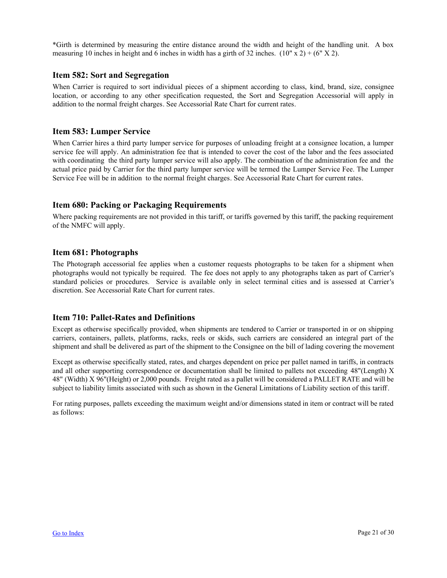<span id="page-20-0"></span>\*Girth is determined by measuring the entire distance around the width and height of the handling unit. A box measuring 10 inches in height and 6 inches in width has a girth of 32 inches.  $(10'' \times 2) + (6'' \times 2)$ .

### **Item 582: Sort and Segregation**

When Carrier is required to sort individual pieces of a shipment according to class, kind, brand, size, consignee location, or according to any other specification requested, the Sort and Segregation Accessorial will apply in addition to the normal freight charges. See Accessorial Rate Chart for current rates.

## **Item 583: Lumper Service**

When Carrier hires a third party lumper service for purposes of unloading freight at a consignee location, a lumper service fee will apply. An administration fee that is intended to cover the cost of the labor and the fees associated with coordinating the third party lumper service will also apply. The combination of the administration fee and the actual price paid by Carrier for the third party lumper service will be termed the Lumper Service Fee. The Lumper Service Fee will be in addition to the normal freight charges. See Accessorial Rate Chart for current rates.

## **Item 680: Packing or Packaging Requirements**

Where packing requirements are not provided in this tariff, or tariffs governed by this tariff, the packing requirement of the NMFC will apply.

## **Item 681: Photographs**

The Photograph accessorial fee applies when a customer requests photographs to be taken for a shipment when photographs would not typically be required. The fee does not apply to any photographs taken as part of Carrier's standard policies or procedures. Service is available only in select terminal cities and is assessed at Carrier's discretion. See Accessorial Rate Chart for current rates.

## **Item 710: Pallet-Rates and Definitions**

Except as otherwise specifically provided, when shipments are tendered to Carrier or transported in or on shipping carriers, containers, pallets, platforms, racks, reels or skids, such carriers are considered an integral part of the shipment and shall be delivered as part of the shipment to the Consignee on the bill of lading covering the movement.

Except as otherwise specifically stated, rates, and charges dependent on price per pallet named in tariffs, in contracts and all other supporting correspondence or documentation shall be limited to pallets not exceeding 48"(Length) X 48" (Width) X 96"(Height) or 2,000 pounds. Freight rated as a pallet will be considered a PALLET RATE and will be subject to liability limits associated with such as shown in the General Limitations of Liability section of this tariff.

For rating purposes, pallets exceeding the maximum weight and/or dimensions stated in item or contract will be rated as follows: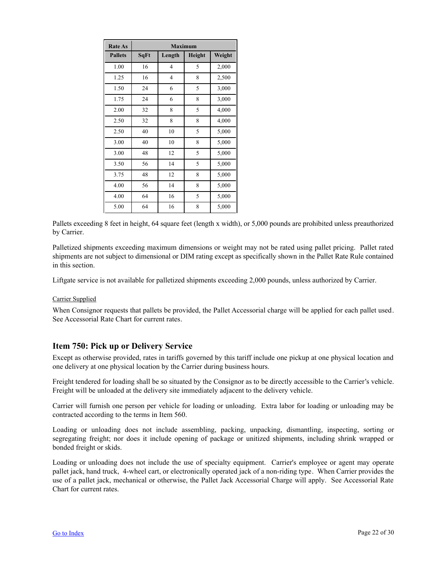<span id="page-21-0"></span>

| <b>Rate As</b> | <b>Maximum</b> |                |               |        |
|----------------|----------------|----------------|---------------|--------|
| <b>Pallets</b> | SqFt           | Length         | <b>Height</b> | Weight |
| 1.00           | 16             | $\overline{4}$ | 5             | 2,000  |
| 1.25           | 16             | $\overline{4}$ | 8             | 2,500  |
| 1.50           | 24             | 6              | 5             | 3,000  |
| 1.75           | 24             | 6              | 8             | 3,000  |
| 2.00           | 32             | 8              | 5             | 4,000  |
| 2.50           | 32             | 8              | 8             | 4,000  |
| 2.50           | 40             | 10             | 5             | 5,000  |
| 3.00           | 40             | 10             | 8             | 5,000  |
| 3.00           | 48             | 12             | 5             | 5,000  |
| 3.50           | 56             | 14             | 5             | 5,000  |
| 3.75           | 48             | 12             | 8             | 5,000  |
| 4.00           | 56             | 14             | 8             | 5,000  |
| 4.00           | 64             | 16             | 5             | 5,000  |
| 5.00           | 64             | 16             | 8             | 5,000  |

Pallets exceeding 8 feet in height, 64 square feet (length x width), or 5,000 pounds are prohibited unless preauthorized by Carrier.

Palletized shipments exceeding maximum dimensions or weight may not be rated using pallet pricing. Pallet rated shipments are not subject to dimensional or DIM rating except as specifically shown in the Pallet Rate Rule contained in this section.

Liftgate service is not available for palletized shipments exceeding 2,000 pounds, unless authorized by Carrier.

#### Carrier Supplied

When Consignor requests that pallets be provided, the Pallet Accessorial charge will be applied for each pallet used. See Accessorial Rate Chart for current rates.

## **Item 750: Pick up or Delivery Service**

Except as otherwise provided, rates in tariffs governed by this tariff include one pickup at one physical location and one delivery at one physical location by the Carrier during business hours.

Freight tendered for loading shall be so situated by the Consignor as to be directly accessible to the Carrier's vehicle. Freight will be unloaded at the delivery site immediately adjacent to the delivery vehicle.

Carrier will furnish one person per vehicle for loading or unloading. Extra labor for loading or unloading may be contracted according to the terms in Item 560.

Loading or unloading does not include assembling, packing, unpacking, dismantling, inspecting, sorting or segregating freight; nor does it include opening of package or unitized shipments, including shrink wrapped or bonded freight or skids.

Loading or unloading does not include the use of specialty equipment. Carrier's employee or agent may operate pallet jack, hand truck, 4-wheel cart, or electronically operated jack of a non-riding type. When Carrier provides the use of a pallet jack, mechanical or otherwise, the Pallet Jack Accessorial Charge will apply. See Accessorial Rate Chart for current rates.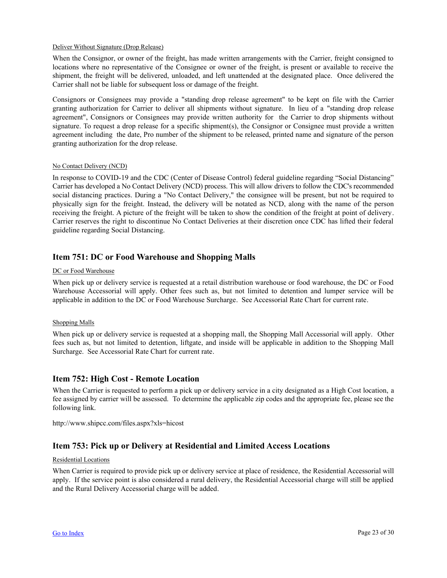#### <span id="page-22-0"></span>Deliver Without Signature (Drop Release)

When the Consignor, or owner of the freight, has made written arrangements with the Carrier, freight consigned to locations where no representative of the Consignee or owner of the freight, is present or available to receive the shipment, the freight will be delivered, unloaded, and left unattended at the designated place. Once delivered the Carrier shall not be liable for subsequent loss or damage of the freight.

Consignors or Consignees may provide a "standing drop release agreement" to be kept on file with the Carrier granting authorization for Carrier to deliver all shipments without signature. In lieu of a "standing drop release agreement", Consignors or Consignees may provide written authority for the Carrier to drop shipments without signature. To request a drop release for a specific shipment(s), the Consignor or Consignee must provide a written agreement including the date, Pro number of the shipment to be released, printed name and signature of the person granting authorization for the drop release.

#### No Contact Delivery (NCD)

In response to COVID-19 and the CDC (Center of Disease Control) federal guideline regarding "Social Distancing" Carrier has developed a No Contact Delivery (NCD) process. This will allow drivers to follow the CDC's recommended social distancing practices. During a "No Contact Delivery," the consignee will be present, but not be required to physically sign for the freight. Instead, the delivery will be notated as NCD, along with the name of the person receiving the freight. A picture of the freight will be taken to show the condition of the freight at point of delivery. Carrier reserves the right to discontinue No Contact Deliveries at their discretion once CDC has lifted their federal guideline regarding Social Distancing.

## **Item 751: DC or Food Warehouse and Shopping Malls**

#### DC or Food Warehouse

When pick up or delivery service is requested at a retail distribution warehouse or food warehouse, the DC or Food Warehouse Accessorial will apply. Other fees such as, but not limited to detention and lumper service will be applicable in addition to the DC or Food Warehouse Surcharge. See Accessorial Rate Chart for current rate.

#### Shopping Malls

When pick up or delivery service is requested at a shopping mall, the Shopping Mall Accessorial will apply. Other fees such as, but not limited to detention, liftgate, and inside will be applicable in addition to the Shopping Mall Surcharge. See Accessorial Rate Chart for current rate.

#### **Item 752: High Cost - Remote Location**

When the Carrier is requested to perform a pick up or delivery service in a city designated as a High Cost location, a fee assigned by carrier will be assessed. To determine the applicable zip codes and the appropriate fee, please see the following link.

http://www.shipcc.com/files.aspx?xls=hicost

## **Item 753: Pick up or Delivery at Residential and Limited Access Locations**

#### Residential Locations

When Carrier is required to provide pick up or delivery service at place of residence, the Residential Accessorial will apply. If the service point is also considered a rural delivery, the Residential Accessorial charge will still be applied and the Rural Delivery Accessorial charge will be added.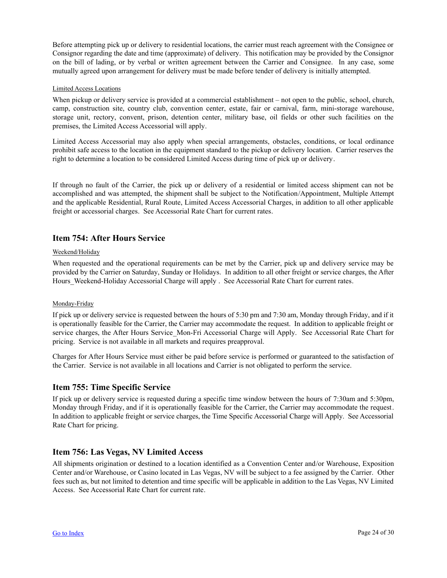<span id="page-23-0"></span>Before attempting pick up or delivery to residential locations, the carrier must reach agreement with the Consignee or Consignor regarding the date and time (approximate) of delivery. This notification may be provided by the Consignor on the bill of lading, or by verbal or written agreement between the Carrier and Consignee. In any case, some mutually agreed upon arrangement for delivery must be made before tender of delivery is initially attempted.

#### Limited Access Locations

When pickup or delivery service is provided at a commercial establishment – not open to the public, school, church, camp, construction site, country club, convention center, estate, fair or carnival, farm, mini-storage warehouse, storage unit, rectory, convent, prison, detention center, military base, oil fields or other such facilities on the premises, the Limited Access Accessorial will apply.

Limited Access Accessorial may also apply when special arrangements, obstacles, conditions, or local ordinance prohibit safe access to the location in the equipment standard to the pickup or delivery location. Carrier reserves the right to determine a location to be considered Limited Access during time of pick up or delivery.

If through no fault of the Carrier, the pick up or delivery of a residential or limited access shipment can not be accomplished and was attempted, the shipment shall be subject to the Notification/Appointment, Multiple Attempt and the applicable Residential, Rural Route, Limited Access Accessorial Charges, in addition to all other applicable freight or accessorial charges. See Accessorial Rate Chart for current rates.

## **Item 754: After Hours Service**

#### Weekend/Holiday

When requested and the operational requirements can be met by the Carrier, pick up and delivery service may be provided by the Carrier on Saturday, Sunday or Holidays. In addition to all other freight or service charges, the After Hours\_Weekend-Holiday Accessorial Charge will apply . See Accessorial Rate Chart for current rates.

#### Monday-Friday

If pick up or delivery service is requested between the hours of 5:30 pm and 7:30 am, Monday through Friday, and if it is operationally feasible for the Carrier, the Carrier may accommodate the request. In addition to applicable freight or service charges, the After Hours Service Mon-Fri Accessorial Charge will Apply. See Accessorial Rate Chart for pricing. Service is not available in all markets and requires preapproval.

Charges for After Hours Service must either be paid before service is performed or guaranteed to the satisfaction of the Carrier. Service is not available in all locations and Carrier is not obligated to perform the service.

## **Item 755: Time Specific Service**

If pick up or delivery service is requested during a specific time window between the hours of 7:30am and 5:30pm, Monday through Friday, and if it is operationally feasible for the Carrier, the Carrier may accommodate the request. In addition to applicable freight or service charges, the Time Specific Accessorial Charge will Apply. See Accessorial Rate Chart for pricing.

## **Item 756: Las Vegas, NV Limited Access**

All shipments origination or destined to a location identified as a Convention Center and/or Warehouse, Exposition Center and/or Warehouse, or Casino located in Las Vegas, NV will be subject to a fee assigned by the Carrier. Other fees such as, but not limited to detention and time specific will be applicable in addition to the Las Vegas, NV Limited Access. See Accessorial Rate Chart for current rate.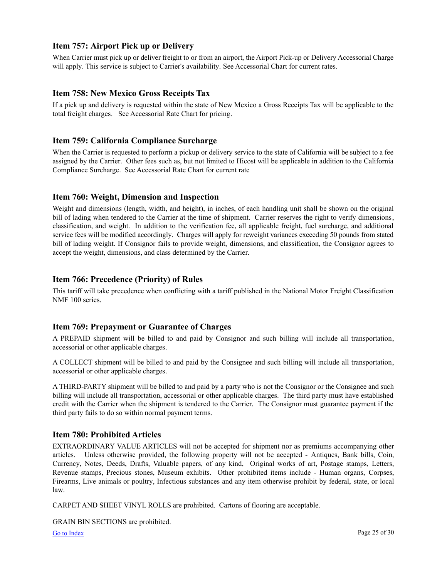## <span id="page-24-0"></span>**Item 757: Airport Pick up or Delivery**

When Carrier must pick up or deliver freight to or from an airport, the Airport Pick-up or Delivery Accessorial Charge will apply. This service is subject to Carrier's availability. See Accessorial Chart for current rates.

## **Item 758: New Mexico Gross Receipts Tax**

If a pick up and delivery is requested within the state of New Mexico a Gross Receipts Tax will be applicable to the total freight charges. See Accessorial Rate Chart for pricing.

## **Item 759: California Compliance Surcharge**

When the Carrier is requested to perform a pickup or delivery service to the state of California will be subject to a fee assigned by the Carrier. Other fees such as, but not limited to Hicost will be applicable in addition to the California Compliance Surcharge. See Accessorial Rate Chart for current rate

## **Item 760: Weight, Dimension and Inspection**

Weight and dimensions (length, width, and height), in inches, of each handling unit shall be shown on the original bill of lading when tendered to the Carrier at the time of shipment. Carrier reserves the right to verify dimensions, classification, and weight. In addition to the verification fee, all applicable freight, fuel surcharge, and additional service fees will be modified accordingly. Charges will apply for reweight variances exceeding 50 pounds from stated bill of lading weight. If Consignor fails to provide weight, dimensions, and classification, the Consignor agrees to accept the weight, dimensions, and class determined by the Carrier.

## **Item 766: Precedence (Priority) of Rules**

This tariff will take precedence when conflicting with a tariff published in the National Motor Freight Classification NMF 100 series.

## **Item 769: Prepayment or Guarantee of Charges**

A PREPAID shipment will be billed to and paid by Consignor and such billing will include all transportation, accessorial or other applicable charges.

A COLLECT shipment will be billed to and paid by the Consignee and such billing will include all transportation, accessorial or other applicable charges.

A THIRD-PARTY shipment will be billed to and paid by a party who is not the Consignor or the Consignee and such billing will include all transportation, accessorial or other applicable charges. The third party must have established credit with the Carrier when the shipment is tendered to the Carrier. The Consignor must guarantee payment if the third party fails to do so within normal payment terms.

## **Item 780: Prohibited Articles**

EXTRAORDINARY VALUE ARTICLES will not be accepted for shipment nor as premiums accompanying other articles. Unless otherwise provided, the following property will not be accepted - Antiques, Bank bills, Coin, Currency, Notes, Deeds, Drafts, Valuable papers, of any kind, Original works of art, Postage stamps, Letters, Revenue stamps, Precious stones, Museum exhibits. Other prohibited items include - Human organs, Corpses, Firearms, Live animals or poultry, Infectious substances and any item otherwise prohibit by federal, state, or local law.

CARPET AND SHEET VINYL ROLLS are prohibited. Cartons of flooring are acceptable.

GRAIN BIN SECTIONS are prohibited.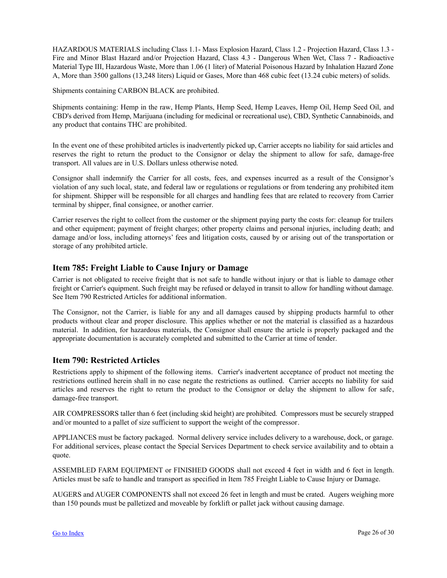<span id="page-25-0"></span>HAZARDOUS MATERIALS including Class 1.1- Mass Explosion Hazard, Class 1.2 - Projection Hazard, Class 1.3 - Fire and Minor Blast Hazard and/or Projection Hazard, Class 4.3 - Dangerous When Wet, Class 7 - Radioactive Material Type III, Hazardous Waste, More than 1.06 (1 liter) of Material Poisonous Hazard by Inhalation Hazard Zone A, More than 3500 gallons (13,248 liters) Liquid or Gases, More than 468 cubic feet (13.24 cubic meters) of solids.

Shipments containing CARBON BLACK are prohibited.

Shipments containing: Hemp in the raw, Hemp Plants, Hemp Seed, Hemp Leaves, Hemp Oil, Hemp Seed Oil, and CBD's derived from Hemp, Marijuana (including for medicinal or recreational use), CBD, Synthetic Cannabinoids, and any product that contains THC are prohibited.

In the event one of these prohibited articles is inadvertently picked up, Carrier accepts no liability for said articles and reserves the right to return the product to the Consignor or delay the shipment to allow for safe, damage-free transport. All values are in U.S. Dollars unless otherwise noted.

Consignor shall indemnify the Carrier for all costs, fees, and expenses incurred as a result of the Consignor's violation of any such local, state, and federal law or regulations or regulations or from tendering any prohibited item for shipment. Shipper will be responsible for all charges and handling fees that are related to recovery from Carrier terminal by shipper, final consignee, or another carrier.

Carrier reserves the right to collect from the customer or the shipment paying party the costs for: cleanup for trailers and other equipment; payment of freight charges; other property claims and personal injuries, including death; and damage and/or loss, including attorneys' fees and litigation costs, caused by or arising out of the transportation or storage of any prohibited article.

## **Item 785: Freight Liable to Cause Injury or Damage**

Carrier is not obligated to receive freight that is not safe to handle without injury or that is liable to damage other freight or Carrier's equipment. Such freight may be refused or delayed in transit to allow for handling without damage. See Item 790 Restricted Articles for additional information.

The Consignor, not the Carrier, is liable for any and all damages caused by shipping products harmful to other products without clear and proper disclosure. This applies whether or not the material is classified as a hazardous material. In addition, for hazardous materials, the Consignor shall ensure the article is properly packaged and the appropriate documentation is accurately completed and submitted to the Carrier at time of tender.

## **Item 790: Restricted Articles**

Restrictions apply to shipment of the following items. Carrier's inadvertent acceptance of product not meeting the restrictions outlined herein shall in no case negate the restrictions as outlined. Carrier accepts no liability for said articles and reserves the right to return the product to the Consignor or delay the shipment to allow for safe, damage-free transport.

AIR COMPRESSORS taller than 6 feet (including skid height) are prohibited. Compressors must be securely strapped and/or mounted to a pallet of size sufficient to support the weight of the compressor.

APPLIANCES must be factory packaged. Normal delivery service includes delivery to a warehouse, dock, or garage. For additional services, please contact the Special Services Department to check service availability and to obtain a quote.

ASSEMBLED FARM EQUIPMENT or FINISHED GOODS shall not exceed 4 feet in width and 6 feet in length. Articles must be safe to handle and transport as specified in Item 785 Freight Liable to Cause Injury or Damage.

AUGERS and AUGER COMPONENTS shall not exceed 26 feet in length and must be crated. Augers weighing more than 150 pounds must be palletized and moveable by forklift or pallet jack without causing damage.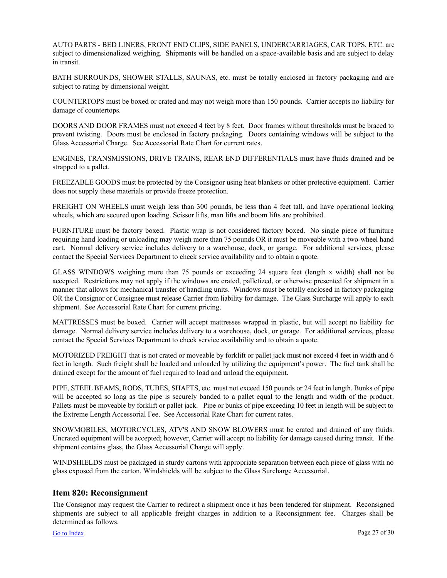<span id="page-26-0"></span>AUTO PARTS - BED LINERS, FRONT END CLIPS, SIDE PANELS, UNDERCARRIAGES, CAR TOPS, ETC. are subject to dimensionalized weighing. Shipments will be handled on a space-available basis and are subject to delay in transit.

BATH SURROUNDS, SHOWER STALLS, SAUNAS, etc. must be totally enclosed in factory packaging and are subject to rating by dimensional weight.

COUNTERTOPS must be boxed or crated and may not weigh more than 150 pounds. Carrier accepts no liability for damage of countertops.

DOORS AND DOOR FRAMES must not exceed 4 feet by 8 feet. Door frames without thresholds must be braced to prevent twisting. Doors must be enclosed in factory packaging. Doors containing windows will be subject to the Glass Accessorial Charge. See Accessorial Rate Chart for current rates.

ENGINES, TRANSMISSIONS, DRIVE TRAINS, REAR END DIFFERENTIALS must have fluids drained and be strapped to a pallet.

FREEZABLE GOODS must be protected by the Consignor using heat blankets or other protective equipment. Carrier does not supply these materials or provide freeze protection.

FREIGHT ON WHEELS must weigh less than 300 pounds, be less than 4 feet tall, and have operational locking wheels, which are secured upon loading. Scissor lifts, man lifts and boom lifts are prohibited.

FURNITURE must be factory boxed. Plastic wrap is not considered factory boxed. No single piece of furniture requiring hand loading or unloading may weigh more than 75 pounds OR it must be moveable with a two-wheel hand cart. Normal delivery service includes delivery to a warehouse, dock, or garage. For additional services, please contact the Special Services Department to check service availability and to obtain a quote.

GLASS WINDOWS weighing more than 75 pounds or exceeding 24 square feet (length x width) shall not be accepted. Restrictions may not apply if the windows are crated, palletized, or otherwise presented for shipment in a manner that allows for mechanical transfer of handling units. Windows must be totally enclosed in factory packaging OR the Consignor or Consignee must release Carrier from liability for damage. The Glass Surcharge will apply to each shipment. See Accessorial Rate Chart for current pricing.

MATTRESSES must be boxed. Carrier will accept mattresses wrapped in plastic, but will accept no liability for damage. Normal delivery service includes delivery to a warehouse, dock, or garage. For additional services, please contact the Special Services Department to check service availability and to obtain a quote.

MOTORIZED FREIGHT that is not crated or moveable by forklift or pallet jack must not exceed 4 feet in width and 6 feet in length. Such freight shall be loaded and unloaded by utilizing the equipment's power. The fuel tank shall be drained except for the amount of fuel required to load and unload the equipment.

PIPE, STEEL BEAMS, RODS, TUBES, SHAFTS, etc. must not exceed 150 pounds or 24 feet in length. Bunks of pipe will be accepted so long as the pipe is securely banded to a pallet equal to the length and width of the product. Pallets must be moveable by forklift or pallet jack. Pipe or bunks of pipe exceeding 10 feet in length will be subject to the Extreme Length Accessorial Fee. See Accessorial Rate Chart for current rates.

SNOWMOBILES, MOTORCYCLES, ATV'S AND SNOW BLOWERS must be crated and drained of any fluids. Uncrated equipment will be accepted; however, Carrier will accept no liability for damage caused during transit. If the shipment contains glass, the Glass Accessorial Charge will apply.

WINDSHIELDS must be packaged in sturdy cartons with appropriate separation between each piece of glass with no glass exposed from the carton. Windshields will be subject to the Glass Surcharge Accessorial.

#### **Item 820: Reconsignment**

The Consignor may request the Carrier to redirect a shipment once it has been tendered for shipment. Reconsigned shipments are subject to all applicable freight charges in addition to a Reconsignment fee. Charges shall be determined as follows.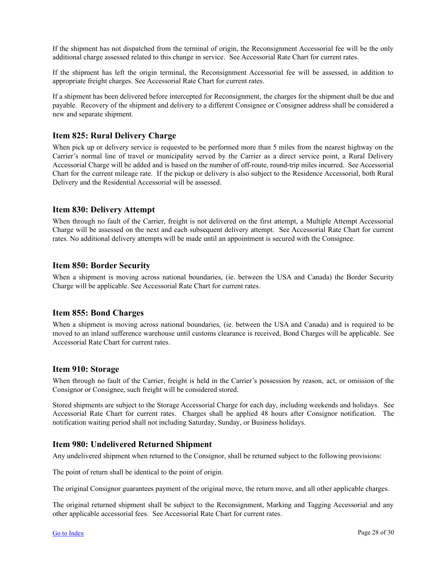<span id="page-27-0"></span>If the shipment has not dispatched from the terminal of origin, the Reconsignment Accessorial fee will be the only additional charge assessed related to this change in service. See Accessorial Rate Chart for current rates.

If the shipment has left the origin terminal, the Reconsignment Accessorial fee will be assessed, in addition to appropriate freight charges. See Accessorial Rate Chart for current rates.

If a shipment has been delivered before intercepted for Reconsignment, the charges for the shipment shall be due and payable. Recovery of the shipment and delivery to a different Consignee or Consignee address shall be considered a new and separate shipment.

## **Item 825: Rural Delivery Charge**

When pick up or delivery service is requested to be performed more than 5 miles from the nearest highway on the Carrier's normal line of travel or municipality served by the Carrier as a direct service point, a Rural Delivery Accessorial Charge will be added and is based on the number of off-route, round-trip miles incurred. See Accessorial Chart for the current mileage rate. If the pickup or delivery is also subject to the Residence Accessorial, both Rural Delivery and the Residential Accessorial will be assessed.

## **Item 830: Delivery Attempt**

When through no fault of the Carrier, freight is not delivered on the first attempt, a Multiple Attempt Accessorial Charge will be assessed on the next and each subsequent delivery attempt. See Accessorial Rate Chart for current rates. No additional delivery attempts will be made until an appointment is secured with the Consignee.

## **Item 850: Border Security**

When a shipment is moving across national boundaries, (ie. between the USA and Canada) the Border Security Charge will be applicable. See Accessorial Rate Chart for current rates.

#### **Item 855: Bond Charges**

When a shipment is moving across national boundaries, (ie. between the USA and Canada) and is required to be moved to an inland sufference warehouse until customs clearance is received, Bond Charges will be applicable. See Accessorial Rate Chart for current rates.

#### **Item 910: Storage**

When through no fault of the Carrier, freight is held in the Carrier's possession by reason, act, or omission of the Consignor or Consignee, such freight will be considered stored.

Stored shipments are subject to the Storage Accessorial Charge for each day, including weekends and holidays. See Accessorial Rate Chart for current rates. Charges shall be applied 48 hours after Consignor notification. The notification waiting period shall not including Saturday, Sunday, or Business holidays.

## **Item 980: Undelivered Returned Shipment**

Any undelivered shipment when returned to the Consignor, shall be returned subject to the following provisions:

The point of return shall be identical to the point of origin.

The original Consignor guarantees payment of the original move, the return move, and all other applicable charges.

The original returned shipment shall be subject to the Reconsignment, Marking and Tagging Accessorial and any other applicable accessorial fees. See Accessorial Rate Chart for current rates.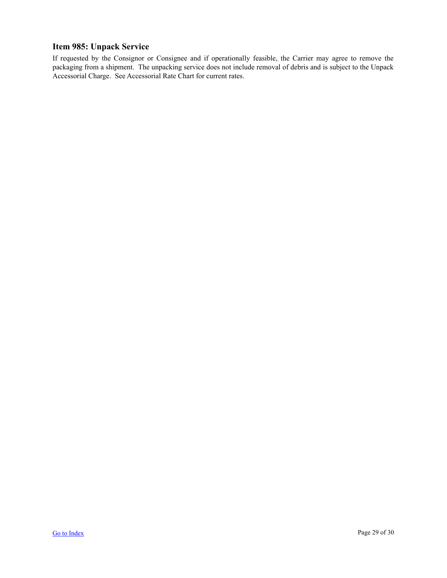## <span id="page-28-0"></span>**Item 985: Unpack Service**

If requested by the Consignor or Consignee and if operationally feasible, the Carrier may agree to remove the packaging from a shipment. The unpacking service does not include removal of debris and is subject to the Unpack Accessorial Charge. See Accessorial Rate Chart for current rates.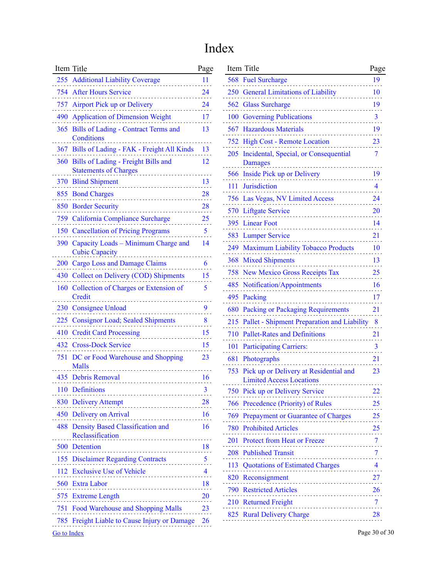# Index

| Item Title                                                                 | Page      |
|----------------------------------------------------------------------------|-----------|
| 255 Additional Liability Coverage                                          | 11        |
| 754 After Hours Service                                                    | 24        |
| 757 Airport Pick up or Delivery                                            | 24        |
| <b>Application of Dimension Weight</b><br>490                              | 17        |
| Bills of Lading - Contract Terms and<br>365<br>Conditions                  | 13        |
| 367 Bills of Lading - FAK - Freight All Kinds                              | 13        |
| Bills of Lading - Freight Bills and<br>360<br><b>Statements of Charges</b> | 12        |
| <b>Blind Shipment</b><br>370                                               | 13        |
| 855<br><b>Bond Charges</b>                                                 | 28        |
| 850 Border Security                                                        | 28        |
| California Compliance Surcharge<br>759 -                                   | <u>25</u> |
| <b>Cancellation of Pricing Programs</b><br>150                             | 5         |
| Capacity Loads - Minimum Charge and<br>390<br><b>Cubic Capacity</b>        | 14        |
| 200 Cargo Loss and Damage Claims                                           | 6         |
| <b>Collect on Delivery (COD) Shipments</b><br>430                          | 15        |
| <b>Collection of Charges or Extension of</b><br>160<br>Credit              | 5         |
| <b>Consignee Unload</b><br>230                                             | 9         |
| 225 Consignor Load; Sealed Shipments                                       | 8         |
| <b>Credit Card Processing</b><br>410                                       | 15        |
| 432<br><b>Cross-Dock Service</b>                                           | 15        |
| DC or Food Warehouse and Shopping<br>751<br>Malls                          | 23        |
| 435 Debris Removal                                                         | 16        |
| 110 Definitions                                                            | 3         |
| 830 Delivery Attempt<br>.                                                  | 28        |
| 450 Delivery on Arrival<br>.                                               | 16        |
| 488 Density Based Classification and<br>Reclassification<br>.              | 16        |
| 500 Detention                                                              | 18        |
| 155 Disclaimer Regarding Contracts 5                                       |           |
| 112 Exclusive Use of Vehicle                                               | 4         |
| 560 Extra Labor                                                            | 18        |
| 575 Extreme Length<br>.                                                    | <b>20</b> |
| 751 Food Warehouse and Shopping Malls                                      | 23        |
| 785 Freight Liable to Cause Injury or Damage                               | 26        |
| Go to Index                                                                |           |

| Item Title                                                       | Page                              | Item Title                                      | Page                               |
|------------------------------------------------------------------|-----------------------------------|-------------------------------------------------|------------------------------------|
| 255 Additional Liability Coverage                                | 11                                | 568 Fuel Surcharge                              | 19                                 |
| 754 After Hours Service                                          | 24                                | 250 General Limitations of Liability            | 10                                 |
| 757 Airport Pick up or Delivery                                  | 24                                | 562 Glass Surcharge                             | 19<br>$\sim$                       |
| 490 Application of Dimension Weight                              | 17                                | 100 Governing Publications                      | $\overline{3}$                     |
| 365 Bills of Lading - Contract Terms and                         | 13                                | 567 Hazardous Materials                         | 19                                 |
| Conditions                                                       |                                   | 752 High Cost - Remote Location                 | 23                                 |
| 367 Bills of Lading - FAK - Freight All Kinds                    | 13                                | 205 Incidental, Special, or Consequential       | 7                                  |
| 360 Bills of Lading - Freight Bills and                          | 12                                | <b>Damages</b>                                  |                                    |
| <b>Statements of Charges</b><br>370 Blind Shipment               | 13                                | 566 Inside Pick up or Delivery                  | 19                                 |
|                                                                  | $\sim$ $\sim$ $\sim$<br>28        | 111 Jurisdiction                                | 4                                  |
| 855 Bond Charges                                                 |                                   | 756 Las Vegas, NV Limited Access                | 24                                 |
| 850 Border Security                                              | 28                                | 570 Liftgate Service                            | <b>20</b>                          |
| 759 California Compliance Surcharge                              | 25<br>$\sim$ $\sim$ $\sim$        | 395 Linear Foot                                 | 14                                 |
| 150 Cancellation of Pricing Programs                             | 5                                 | 583 Lumper Service                              | 21                                 |
| 390 Capacity Loads - Minimum Charge and<br><b>Cubic Capacity</b> | 14                                | 249 Maximum Liability Tobacco Products          | 10                                 |
| 200 Cargo Loss and Damage Claims                                 | 6                                 | 368 Mixed Shipments                             | 13                                 |
| 430 Collect on Delivery (COD) Shipments                          | 15                                | 758 New Mexico Gross Receipts Tax               | 25                                 |
| 160 Collection of Charges or Extension of                        | 5                                 | 485 Notification/Appointments                   | 16                                 |
| Credit                                                           |                                   | 495 Packing                                     | 17                                 |
| 230 Consignee Unload                                             | 9                                 | 680 Packing or Packaging Requirements           | 21                                 |
| 225 Consignor Load; Sealed Shipments                             | 8                                 | 215 Pallet - Shipment Preparation and Liability | 8                                  |
| 410 Credit Card Processing                                       | 15<br>.                           | 710 Pallet-Rates and Definitions                | 21                                 |
| 432 Cross-Dock Service                                           | 15                                | 101 Participating Carriers:                     | 3                                  |
| 751 DC or Food Warehouse and Shopping                            | 23                                | 681 Photographs                                 | 21                                 |
| Malls                                                            |                                   | 753 Pick up or Delivery at Residential and      | 23                                 |
| 435 Debris Removal                                               | 16                                | <b>Limited Access Locations</b>                 |                                    |
| 110 Definitions                                                  |                                   | 750 Pick up or Delivery Service                 | 22                                 |
| 830 Delivery Attempt                                             | 28                                | 766 Precedence (Priority) of Rules              | <b>25</b>                          |
| 450 Delivery on Arrival                                          | 16                                | 769 Prepayment or Guarantee of Charges          | 25                                 |
| 488 Density Based Classification and                             | 16                                | <b>780 Prohibited Articles</b><br>.             | 25                                 |
| Reclassification                                                 |                                   | 201 Protect from Heat or Freeze                 | $\overline{\mathcal{I}}$<br>a a si |
| 500 Detention                                                    | 18<br>.                           | 208 Published Transit                           | 7                                  |
| 155 Disclaimer Regarding Contracts                               | 5.<br>$\sim$ $\sim$ $\sim$        | 113 Quotations of Estimated Charges             | 4                                  |
| 112 Exclusive Use of Vehicle                                     | 4<br>$\sim$ $\sim$ $\sim$         | 820 Reconsignment                               | 27                                 |
| 560 Extra Labor                                                  | 18<br>$\sim$ $\sim$ $\sim$ $\sim$ | 790 Restricted Articles                         | 26                                 |
| 575 Extreme Length                                               | 20<br>.                           | 210 Returned Freight                            | 7                                  |
| 751 Food Warehouse and Shopping Malls                            | 23                                | 825 Rural Delivery Charge                       | 28                                 |
| 785 Freight Liable to Cause Injury or Damage                     | 26                                |                                                 |                                    |